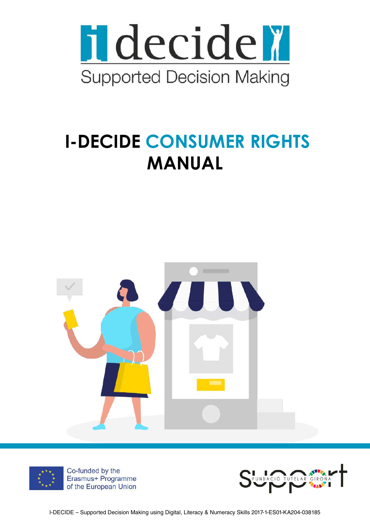

# **I-DECIDE CONSUMER RIGHTS MANUAL**





Co-funded by the Erasmus+ Programme of the European Union

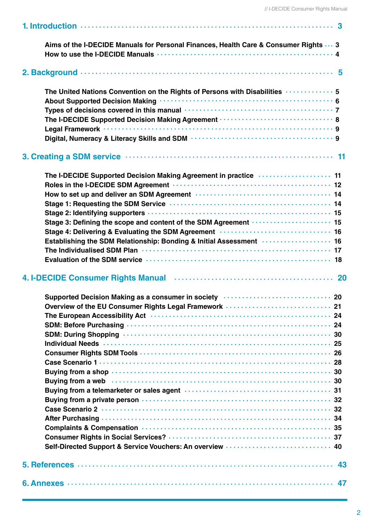| Aims of the I-DECIDE Manuals for Personal Finances, Health Care & Consumer Rights  3                                                                                                                                                                                                                                   |
|------------------------------------------------------------------------------------------------------------------------------------------------------------------------------------------------------------------------------------------------------------------------------------------------------------------------|
|                                                                                                                                                                                                                                                                                                                        |
| The United Nations Convention on the Rights of Persons with Disabilities  5<br>The I-DECIDE Supported Decision Making Agreement ······························· 8                                                                                                                                                      |
|                                                                                                                                                                                                                                                                                                                        |
| The I-DECIDE Supported Decision Making Agreement in practice  11<br>Stage 3: Defining the scope and content of the SDM Agreement ···················· 15<br>Establishing the SDM Relationship: Bonding & Initial Assessment  16                                                                                        |
|                                                                                                                                                                                                                                                                                                                        |
| Supported Decision Making as a consumer in society (and the content of the 20<br>Overview of the EU Consumer Rights Legal Framework  21<br>Buying from a web with the contract of the contract of the state of the state of the state of the state of the<br>Self-Directed Support & Service Vouchers: An overview  40 |
| 5. References …………………………………………………………………………… 43                                                                                                                                                                                                                                                                         |
| 6. Annexes ………………………………………………………………………… 47                                                                                                                                                                                                                                                                             |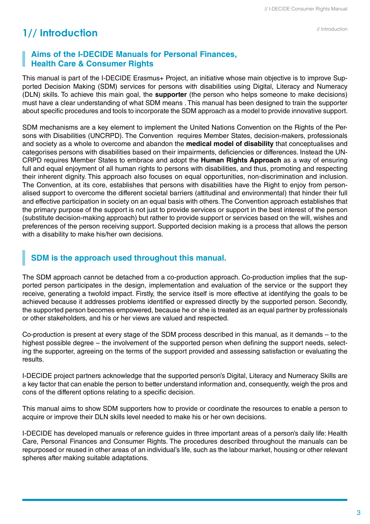## **1// Introduction**

## **Aims of the I-DECIDE Manuals for Personal Finances, Health Care & Consumer Rights**

This manual is part of the I-DECIDE Erasmus+ Project, an initiative whose main objective is to improve Supported Decision Making (SDM) services for persons with disabilities using Digital, Literacy and Numeracy (DLN) skills. To achieve this main goal, the **supporter** (the person who helps someone to make decisions) must have a clear understanding of what SDM means . This manual has been designed to train the supporter about specific procedures and tools to incorporate the SDM approach as a model to provide innovative support.

SDM mechanisms are a key element to implement the United Nations Convention on the Rights of the Persons with Disabilities (UNCRPD). The Convention requires Member States, decision-makers, professionals and society as a whole to overcome and abandon the **medical model of disability** that conceptualises and categorises persons with disabilities based on their impairments, deficiencies or differences. Instead the UN-CRPD requires Member States to embrace and adopt the **Human Rights Approach** as a way of ensuring full and equal enjoyment of all human rights to persons with disabilities, and thus, promoting and respecting their inherent dignity. This approach also focuses on equal opportunities, non-discrimination and inclusion. The Convention, at its core, establishes that persons with disabilities have the Right to enjoy from personalised support to overcome the different societal barriers (attitudinal and environmental) that hinder their full and effective participation in society on an equal basis with others. The Convention approach establishes that the primary purpose of the support is not just to provide services or support in the best interest of the person (substitute decision-making approach) but rather to provide support or services based on the will, wishes and preferences of the person receiving support. Supported decision making is a process that allows the person with a disability to make his/her own decisions.

### **SDM is the approach used throughout this manual.**

The SDM approach cannot be detached from a co-production approach. Co-production implies that the supported person participates in the design, implementation and evaluation of the service or the support they receive, generating a twofold impact. Firstly, the service itself is more effective at identifying the goals to be achieved because it addresses problems identified or expressed directly by the supported person. Secondly, the supported person becomes empowered, because he or she is treated as an equal partner by professionals or other stakeholders, and his or her views are valued and respected.

Co-production is present at every stage of the SDM process described in this manual, as it demands – to the highest possible degree – the involvement of the supported person when defining the support needs, selecting the supporter, agreeing on the terms of the support provided and assessing satisfaction or evaluating the results.

I-DECIDE project partners acknowledge that the supported person's Digital, Literacy and Numeracy Skills are a key factor that can enable the person to better understand information and, consequently, weigh the pros and cons of the different options relating to a specific decision.

This manual aims to show SDM supporters how to provide or coordinate the resources to enable a person to acquire or improve their DLN skills level needed to make his or her own decisions.

I-DECIDE has developed manuals or reference guides in three important areas of a person's daily life: Health Care, Personal Finances and Consumer Rights. The procedures described throughout the manuals can be repurposed or reused in other areas of an individual's life, such as the labour market, housing or other relevant spheres after making suitable adaptations.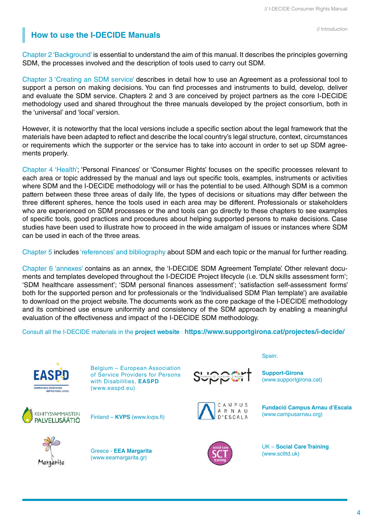// Introduction

## **How to use the I-DECIDE Manuals**

Chapter 2 'Background' is essential to understand the aim of this manual. It describes the principles governing SDM, the processes involved and the description of tools used to carry out SDM.

Chapter 3 'Creating an SDM service' describes in detail how to use an Agreement as a professional tool to support a person on making decisions. You can find processes and instruments to build, develop, deliver and evaluate the SDM service. Chapters 2 and 3 are conceived by project partners as the core I-DECIDE methodology used and shared throughout the three manuals developed by the project consortium, both in the 'universal' and 'local' version.

However, it is noteworthy that the local versions include a specific section about the legal framework that the materials have been adapted to reflect and describe the local country's legal structure, context, circumstances or requirements which the supporter or the service has to take into account in order to set up SDM agreements properly.

Chapter 4 'Health'; 'Personal Finances' or 'Consumer Rights' focuses on the specific processes relevant to each area or topic addressed by the manual and lays out specific tools, examples, instruments or activities where SDM and the I-DECIDE methodology will or has the potential to be used. Although SDM is a common pattern between these three areas of daily life, the types of decisions or situations may differ between the three different spheres, hence the tools used in each area may be different. Professionals or stakeholders who are experienced on SDM processes or the and tools can go directly to these chapters to see examples of specific tools, good practices and procedures about helping supported persons to make decisions. Case studies have been used to illustrate how to proceed in the wide amalgam of issues or instances where SDM can be used in each of the three areas.

Chapter 5 includes 'references' and bibliography about SDM and each topic or the manual for further reading.

Chapter 6 'annexes' contains as an annex, the 'I-DECIDE SDM Agreement Template'. Other relevant documents and templates developed throughout the I-DECIDE Project lifecycle (i.e. 'DLN skills assessment form'; 'SDM healthcare assessment'; 'SDM personal finances assessment'; 'satisfaction self-assessment forms' both for the supported person and for professionals or the 'Individualised SDM Plan template') are available to download on the project website. The documents work as the core package of the I-DECIDE methodology and its combined use ensure uniformity and consistency of the SDM approach by enabling a meaningful evaluation of the effectiveness and impact of the I-DECIDE SDM methodology.

Consult all the I-DECIDE materials in the **[project website](http://www.supportgirona.cat/projectes/i-decide/)** : **<https://www.supportgirona.cat/projectes/i-decide/>**



Belgium – European Association of Service Providers for Persons with Disabilities, **EASPD** (www.easpd.eu)



Finland – **KVPS** (www.kvps.fi)







**Support-Girona** (www.supportgirona.cat)

Spain:



**Fundació Campus Arnau d'Escala**  (www.campusarnau.org)



UK – **Social Care Training** (www.sctltd.uk)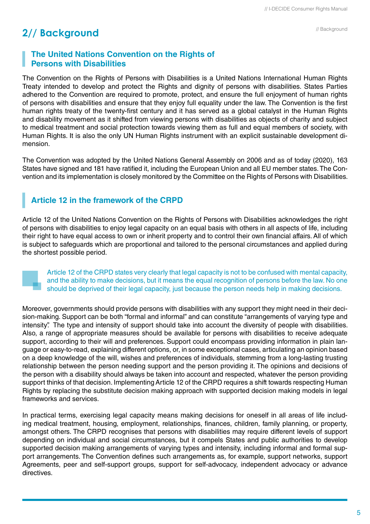#### // Background

## **2// Background**

### **The United Nations Convention on the Rights of Persons with Disabilities**

The Convention on the Rights of Persons with Disabilities is a United Nations International Human Rights Treaty intended to develop and protect the Rights and dignity of persons with disabilities. States Parties adhered to the Convention are required to promote, protect, and ensure the full enjoyment of human rights of persons with disabilities and ensure that they enjoy full equality under the law. The Convention is the first human rights treaty of the twenty-first century and it has served as a global catalyst in the Human Rights and disability movement as it shifted from viewing persons with disabilities as objects of charity and subject to medical treatment and social protection towards viewing them as full and equal members of society, with Human Rights. It is also the only UN Human Rights instrument with an explicit sustainable development dimension.

The Convention was adopted by the United Nations General Assembly on 2006 and as of today (2020), 163 States have signed and 181 have ratified it, including the European Union and all EU member states. The Convention and its implementation is closely monitored by the Committee on the Rights of Persons with Disabilities.

## **Article 12 in the framework of the CRPD**

Article 12 of the United Nations Convention on the Rights of Persons with Disabilities acknowledges the right of persons with disabilities to enjoy legal capacity on an equal basis with others in all aspects of life, including their right to have equal access to own or inherit property and to control their own financial affairs. All of which is subject to safeguards which are proportional and tailored to the personal circumstances and applied during the shortest possible period.



Article 12 of the CRPD states very clearly that legal capacity is not to be confused with mental capacity, and the ability to make decisions, but it means the equal recognition of persons before the law. No one should be deprived of their legal capacity, just because the person needs help in making decisions.

Moreover, governments should provide persons with disabilities with any support they might need in their decision-making. Support can be both "formal and informal" and can constitute "arrangements of varying type and intensity". The type and intensity of support should take into account the diversity of people with disabilities. Also, a range of appropriate measures should be available for persons with disabilities to receive adequate support, according to their will and preferences. Support could encompass providing information in plain language or easy-to-read, explaining different options, or, in some exceptional cases, articulating an opinion based on a deep knowledge of the will, wishes and preferences of individuals, stemming from a long-lasting trusting relationship between the person needing support and the person providing it. The opinions and decisions of the person with a disability should always be taken into account and respected, whatever the person providing support thinks of that decision. Implementing Article 12 of the CRPD requires a shift towards respecting Human Rights by replacing the substitute decision making approach with supported decision making models in legal frameworks and services.

In practical terms, exercising legal capacity means making decisions for oneself in all areas of life including medical treatment, housing, employment, relationships, finances, children, family planning, or property, amongst others. The CRPD recognises that persons with disabilities may require different levels of support depending on individual and social circumstances, but it compels States and public authorities to develop supported decision making arrangements of varying types and intensity, including informal and formal support arrangements. The Convention defines such arrangements as, for example, support networks, support Agreements, peer and self-support groups, support for self-advocacy, independent advocacy or advance directives.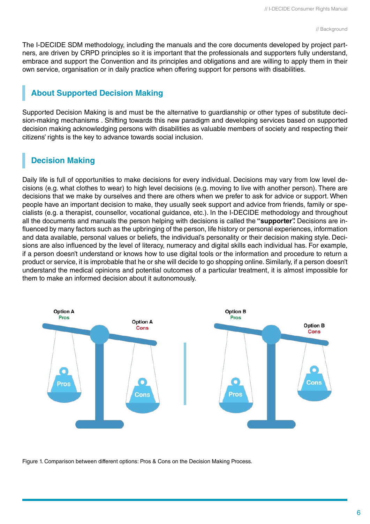The I-DECIDE SDM methodology, including the manuals and the core documents developed by project partners, are driven by CRPD principles so it is important that the professionals and supporters fully understand, embrace and support the Convention and its principles and obligations and are willing to apply them in their own service, organisation or in daily practice when offering support for persons with disabilities.

## **About Supported Decision Making**

Supported Decision Making is and must be the alternative to guardianship or other types of substitute decision-making mechanisms . Shifting towards this new paradigm and developing services based on supported decision making acknowledging persons with disabilities as valuable members of society and respecting their citizens' rights is the key to advance towards social inclusion.

## **Decision Making**

Daily life is full of opportunities to make decisions for every individual. Decisions may vary from low level decisions (e.g. what clothes to wear) to high level decisions (e.g. moving to live with another person). There are decisions that we make by ourselves and there are others when we prefer to ask for advice or support. When people have an important decision to make, they usually seek support and advice from friends, family or specialists (e.g. a therapist, counsellor, vocational guidance, etc.). In the I-DECIDE methodology and throughout all the documents and manuals the person helping with decisions is called the **"supporter".** Decisions are influenced by many factors such as the upbringing of the person, life history or personal experiences, information and data available, personal values or beliefs, the individual's personality or their decision making style. Decisions are also influenced by the level of literacy, numeracy and digital skills each individual has. For example, if a person doesn't understand or knows how to use digital tools or the information and procedure to return a product or service, it is improbable that he or she will decide to go shopping online. Similarly, if a person doesn't understand the medical opinions and potential outcomes of a particular treatment, it is almost impossible for them to make an informed decision about it autonomously.



Figure 1. Comparison between different options: Pros & Cons on the Decision Making Process.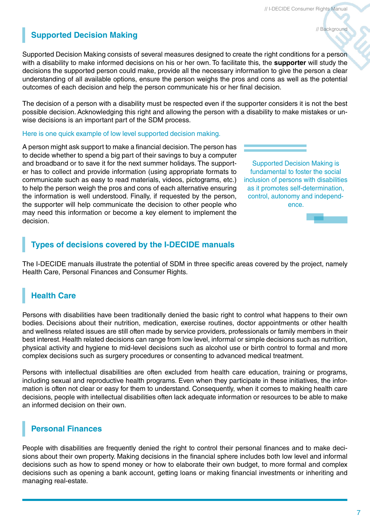### // Background

## **Supported Decision Making**

Supported Decision Making consists of several measures designed to create the right conditions for a person with a disability to make informed decisions on his or her own. To facilitate this, the **supporter** will study the decisions the supported person could make, provide all the necessary information to give the person a clear understanding of all available options, ensure the person weighs the pros and cons as well as the potential outcomes of each decision and help the person communicate his or her final decision.

The decision of a person with a disability must be respected even if the supporter considers it is not the best possible decision. Acknowledging this right and allowing the person with a disability to make mistakes or unwise decisions is an important part of the SDM process.

### Here is one quick example of low level supported decision making.

A person might ask support to make a financial decision. The person has to decide whether to spend a big part of their savings to buy a computer and broadband or to save it for the next summer holidays. The supporter has to collect and provide information (using appropriate formats to communicate such as easy to read materials, videos, pictograms, etc.) to help the person weigh the pros and cons of each alternative ensuring the information is well understood. Finally, if requested by the person, the supporter will help communicate the decision to other people who may need this information or become a key element to implement the decision.

Supported Decision Making is fundamental to foster the social inclusion of persons with disabilities as it promotes self-determination, control, autonomy and independence.



## **Types of decisions covered by the I-DECIDE manuals**

The I-DECIDE manuals illustrate the potential of SDM in three specific areas covered by the project, namely Health Care, Personal Finances and Consumer Rights.

## **Health Care**

Persons with disabilities have been traditionally denied the basic right to control what happens to their own bodies. Decisions about their nutrition, medication, exercise routines, doctor appointments or other health and wellness related issues are still often made by service providers, professionals or family members in their best interest. Health related decisions can range from low level, informal or simple decisions such as nutrition, physical activity and hygiene to mid-level decisions such as alcohol use or birth control to formal and more complex decisions such as surgery procedures or consenting to advanced medical treatment.

Persons with intellectual disabilities are often excluded from health care education, training or programs, including sexual and reproductive health programs. Even when they participate in these initiatives, the information is often not clear or easy for them to understand. Consequently, when it comes to making health care decisions, people with intellectual disabilities often lack adequate information or resources to be able to make an informed decision on their own.

## **Personal Finances**

People with disabilities are frequently denied the right to control their personal finances and to make decisions about their own property. Making decisions in the financial sphere includes both low level and informal decisions such as how to spend money or how to elaborate their own budget, to more formal and complex decisions such as opening a bank account, getting loans or making financial investments or inheriting and managing real-estate.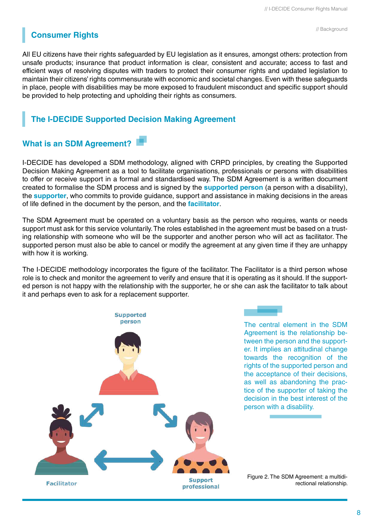## **Consumer Rights**

All EU citizens have their rights safeguarded by EU legislation as it ensures, amongst others: protection from unsafe products; insurance that product information is clear, consistent and accurate; access to fast and efficient ways of resolving disputes with traders to protect their consumer rights and updated legislation to maintain their citizens' rights commensurate with economic and societal changes. Even with these safeguards in place, people with disabilities may be more exposed to fraudulent misconduct and specific support should be provided to help protecting and upholding their rights as consumers.

## **The I-DECIDE Supported Decision Making Agreement**

### **What is an SDM Agreement?**

I-DECIDE has developed a SDM methodology, aligned with CRPD principles, by creating the Supported Decision Making Agreement as a tool to facilitate organisations, professionals or persons with disabilities to offer or receive support in a formal and standardised way. The SDM Agreement is a written document created to formalise the SDM process and is signed by the **supported person** (a person with a disability), the **supporter**, who commits to provide guidance, support and assistance in making decisions in the areas of life defined in the document by the person, and the **facilitator**.

The SDM Agreement must be operated on a voluntary basis as the person who requires, wants or needs support must ask for this service voluntarily. The roles established in the agreement must be based on a trusting relationship with someone who will be the supporter and another person who will act as facilitator. The supported person must also be able to cancel or modify the agreement at any given time if they are unhappy with how it is working.

The I-DECIDE methodology incorporates the figure of the facilitator. The Facilitator is a third person whose role is to check and monitor the agreement to verify and ensure that it is operating as it should. If the supported person is not happy with the relationship with the supporter, he or she can ask the facilitator to talk about it and perhaps even to ask for a replacement supporter.



The central element in the SDM Agreement is the relationship between the person and the supporter. It implies an attitudinal change towards the recognition of the rights of the supported person and the acceptance of their decisions, as well as abandoning the practice of the supporter of taking the decision in the best interest of the person with a disability.

Figure 2. The SDM Agreement: a multidirectional relationship.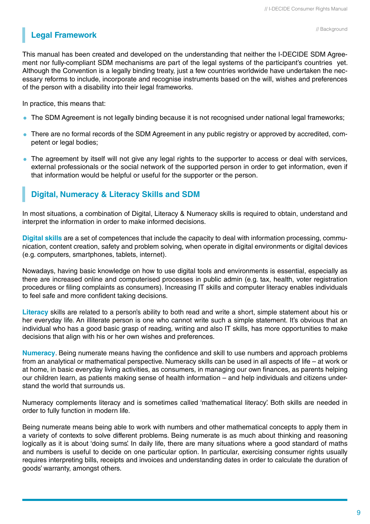## **Legal Framework**

This manual has been created and developed on the understanding that neither the I-DECIDE SDM Agreement nor fully-compliant SDM mechanisms are part of the legal systems of the participant's countries yet. Although the Convention is a legally binding treaty, just a few countries worldwide have undertaken the necessary reforms to include, incorporate and recognise instruments based on the will, wishes and preferences of the person with a disability into their legal frameworks.

In practice, this means that:

- The SDM Agreement is not legally binding because it is not recognised under national legal frameworks;
- There are no formal records of the SDM Agreement in any public registry or approved by accredited, competent or legal bodies;
- The agreement by itself will not give any legal rights to the supporter to access or deal with services, external professionals or the social network of the supported person in order to get information, even if that information would be helpful or useful for the supporter or the person.

### **Digital, Numeracy & Literacy Skills and SDM**

In most situations, a combination of Digital, Literacy & Numeracy skills is required to obtain, understand and interpret the information in order to make informed decisions.

**Digital skills** are a set of competences that include the capacity to deal with information processing, communication, content creation, safety and problem solving, when operate in digital environments or digital devices (e.g. computers, smartphones, tablets, internet).

Nowadays, having basic knowledge on how to use digital tools and environments is essential, especially as there are increased online and computerised processes in public admin (e.g. tax, health, voter registration procedures or filing complaints as consumers). Increasing IT skills and computer literacy enables individuals to feel safe and more confident taking decisions.

**Literacy** skills are related to a person's ability to both read and write a short, simple statement about his or her everyday life. An illiterate person is one who cannot write such a simple statement. It's obvious that an individual who has a good basic grasp of reading, writing and also IT skills, has more opportunities to make decisions that align with his or her own wishes and preferences.

**Numeracy**. Being numerate means having the confidence and skill to use numbers and approach problems from an analytical or mathematical perspective. Numeracy skills can be used in all aspects of life – at work or at home, in basic everyday living activities, as consumers, in managing our own finances, as parents helping our children learn, as patients making sense of health information – and help individuals and citizens understand the world that surrounds us.

Numeracy complements literacy and is sometimes called 'mathematical literacy'. Both skills are needed in order to fully function in modern life.

Being numerate means being able to work with numbers and other mathematical concepts to apply them in a variety of contexts to solve different problems. Being numerate is as much about thinking and reasoning logically as it is about 'doing sums'. In daily life, there are many situations where a good standard of maths and numbers is useful to decide on one particular option. In particular, exercising consumer rights usually requires interpreting bills, receipts and invoices and understanding dates in order to calculate the duration of goods' warranty, amongst others.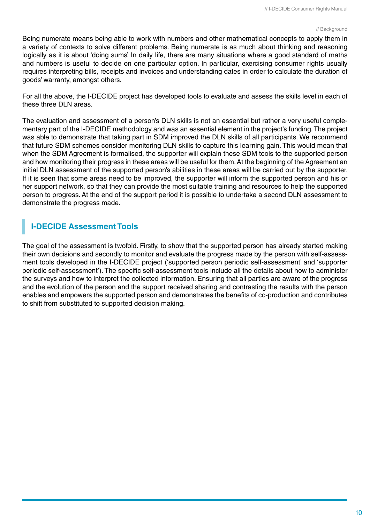#### // Background

Being numerate means being able to work with numbers and other mathematical concepts to apply them in a variety of contexts to solve different problems. Being numerate is as much about thinking and reasoning logically as it is about 'doing sums'. In daily life, there are many situations where a good standard of maths and numbers is useful to decide on one particular option. In particular, exercising consumer rights usually requires interpreting bills, receipts and invoices and understanding dates in order to calculate the duration of goods' warranty, amongst others.

For all the above, the I-DECIDE project has developed tools to evaluate and assess the skills level in each of these three DLN areas.

The evaluation and assessment of a person's DLN skills is not an essential but rather a very useful complementary part of the I-DECIDE methodology and was an essential element in the project's funding. The project was able to demonstrate that taking part in SDM improved the DLN skills of all participants. We recommend that future SDM schemes consider monitoring DLN skills to capture this learning gain. This would mean that when the SDM Agreement is formalised, the supporter will explain these SDM tools to the supported person and how monitoring their progress in these areas will be useful for them. At the beginning of the Agreement an initial DLN assessment of the supported person's abilities in these areas will be carried out by the supporter. If it is seen that some areas need to be improved, the supporter will inform the supported person and his or her support network, so that they can provide the most suitable training and resources to help the supported person to progress. At the end of the support period it is possible to undertake a second DLN assessment to demonstrate the progress made.

## **I-DECIDE Assessment Tools**

The goal of the assessment is twofold. Firstly, to show that the supported person has already started making their own decisions and secondly to monitor and evaluate the progress made by the person with self-assessment tools developed in the I-DECIDE project ('supported person periodic self-assessment' and 'supporter periodic self-assessment'). The specific self-assessment tools include all the details about how to administer the surveys and how to interpret the collected information. Ensuring that all parties are aware of the progress and the evolution of the person and the support received sharing and contrasting the results with the person enables and empowers the supported person and demonstrates the benefits of co-production and contributes to shift from substituted to supported decision making.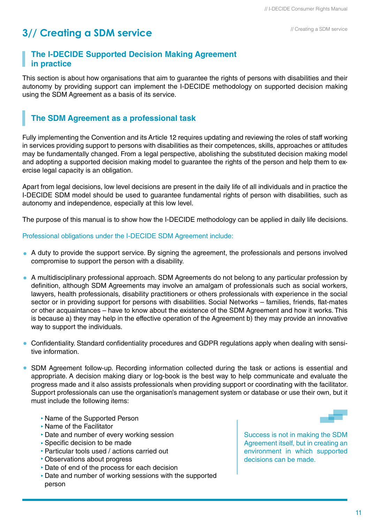### **The I-DECIDE Supported Decision Making Agreement in practice**

This section is about how organisations that aim to guarantee the rights of persons with disabilities and their autonomy by providing support can implement the I-DECIDE methodology on supported decision making using the SDM Agreement as a basis of its service.

## **The SDM Agreement as a professional task**

Fully implementing the Convention and its Article 12 requires updating and reviewing the roles of staff working in services providing support to persons with disabilities as their competences, skills, approaches or attitudes may be fundamentally changed. From a legal perspective, abolishing the substituted decision making model and adopting a supported decision making model to guarantee the rights of the person and help them to exercise legal capacity is an obligation.

Apart from legal decisions, low level decisions are present in the daily life of all individuals and in practice the I-DECIDE SDM model should be used to guarantee fundamental rights of person with disabilities, such as autonomy and independence, especially at this low level.

The purpose of this manual is to show how the I-DECIDE methodology can be applied in daily life decisions.

Professional obligations under the I-DECIDE SDM Agreement include:

- A duty to provide the support service. By signing the agreement, the professionals and persons involved compromise to support the person with a disability.
- A multidisciplinary professional approach. SDM Agreements do not belong to any particular profession by definition, although SDM Agreements may involve an amalgam of professionals such as social workers, lawyers, health professionals, disability practitioners or others professionals with experience in the social sector or in providing support for persons with disabilities. Social Networks – families, friends, flat-mates or other acquaintances – have to know about the existence of the SDM Agreement and how it works. This is because a) they may help in the effective operation of the Agreement b) they may provide an innovative way to support the individuals.
- Confidentiality. Standard confidentiality procedures and GDPR regulations apply when dealing with sensitive information.
- SDM Agreement follow-up. Recording information collected during the task or actions is essential and appropriate. A decision making diary or log-book is the best way to help communicate and evaluate the progress made and it also assists professionals when providing support or coordinating with the facilitator. Support professionals can use the organisation's management system or database or use their own, but it must include the following items:
	- Name of the Supported Person
	- Name of the Facilitator
	- Date and number of every working session
	- Specific decision to be made
	- Particular tools used / actions carried out
	- Observations about progress
	- Date of end of the process for each decision
	- Date and number of working sessions with the supported person

Success is not in making the SDM Agreement itself, but in creating an environment in which supported decisions can be made.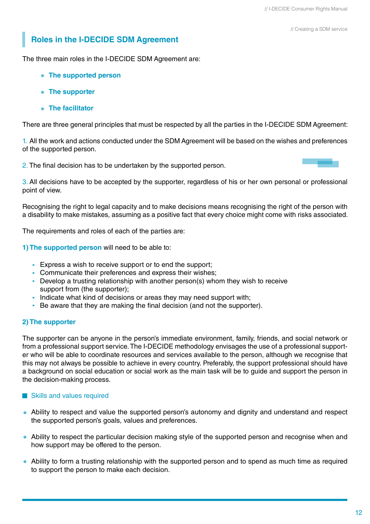## **Roles in the I-DECIDE SDM Agreement**

The three main roles in the I-DECIDE SDM Agreement are:

- **The supported person**
- **The supporter**
- **The facilitator**

There are three general principles that must be respected by all the parties in the I-DECIDE SDM Agreement:

1. All the work and actions conducted under the SDM Agreement will be based on the wishes and preferences of the supported person.

2. The final decision has to be undertaken by the supported person.

3. All decisions have to be accepted by the supporter, regardless of his or her own personal or professional point of view.

Recognising the right to legal capacity and to make decisions means recognising the right of the person with a disability to make mistakes, assuming as a positive fact that every choice might come with risks associated.

The requirements and roles of each of the parties are:

**1) The supported person** will need to be able to:

- Express a wish to receive support or to end the support;
- $\triangleright$  Communicate their preferences and express their wishes;
- $\triangleright$  Develop a trusting relationship with another person(s) whom they wish to receive support from (the supporter);
- Indicate what kind of decisions or areas they may need support with;
- $\triangleright$  Be aware that they are making the final decision (and not the supporter).

### **2) The supporter**

The supporter can be anyone in the person's immediate environment, family, friends, and social network or from a professional support service. The I-DECIDE methodology envisages the use of a professional supporter who will be able to coordinate resources and services available to the person, although we recognise that this may not always be possible to achieve in every country. Preferably, the support professional should have a background on social education or social work as the main task will be to guide and support the person in the decision-making process.

### Skills and values required

- Ability to respect and value the supported person's autonomy and dignity and understand and respect the supported person's goals, values and preferences.
- Ability to respect the particular decision making style of the supported person and recognise when and how support may be offered to the person.
- Ability to form a trusting relationship with the supported person and to spend as much time as required to support the person to make each decision.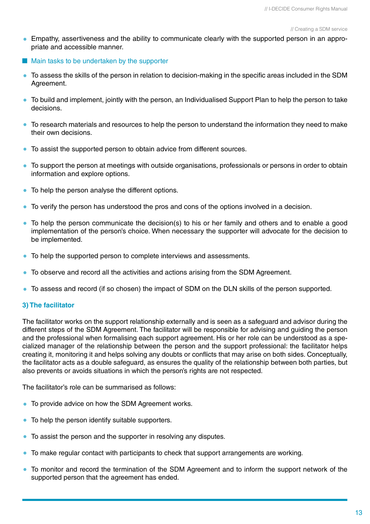- Empathy, assertiveness and the ability to communicate clearly with the supported person in an appropriate and accessible manner.
- $\blacksquare$  Main tasks to be undertaken by the supporter
- To assess the skills of the person in relation to decision-making in the specific areas included in the SDM Agreement.
- To build and implement, jointly with the person, an Individualised Support Plan to help the person to take decisions.
- To research materials and resources to help the person to understand the information they need to make their own decisions.
- To assist the supported person to obtain advice from different sources.
- To support the person at meetings with outside organisations, professionals or persons in order to obtain information and explore options.
- To help the person analyse the different options.
- To verify the person has understood the pros and cons of the options involved in a decision.
- To help the person communicate the decision(s) to his or her family and others and to enable a good implementation of the person's choice. When necessary the supporter will advocate for the decision to be implemented.
- To help the supported person to complete interviews and assessments.
- To observe and record all the activities and actions arising from the SDM Agreement.
- To assess and record (if so chosen) the impact of SDM on the DLN skills of the person supported.

### **3) The facilitator**

The facilitator works on the support relationship externally and is seen as a safeguard and advisor during the different steps of the SDM Agreement. The facilitator will be responsible for advising and guiding the person and the professional when formalising each support agreement. His or her role can be understood as a specialized manager of the relationship between the person and the support professional: the facilitator helps creating it, monitoring it and helps solving any doubts or conflicts that may arise on both sides. Conceptually, the facilitator acts as a double safeguard, as ensures the quality of the relationship between both parties, but also prevents or avoids situations in which the person's rights are not respected.

The facilitator's role can be summarised as follows:

- To provide advice on how the SDM Agreement works.
- To help the person identify suitable supporters.
- To assist the person and the supporter in resolving any disputes.
- To make regular contact with participants to check that support arrangements are working.
- To monitor and record the termination of the SDM Agreement and to inform the support network of the supported person that the agreement has ended.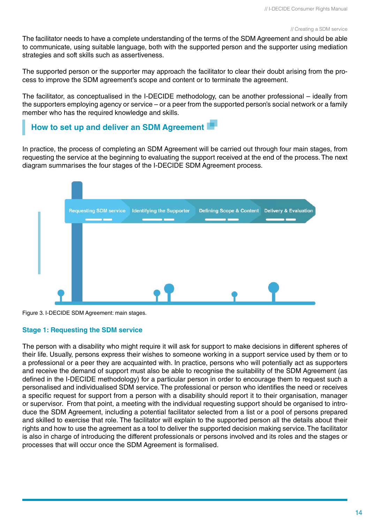The facilitator needs to have a complete understanding of the terms of the SDM Agreement and should be able to communicate, using suitable language, both with the supported person and the supporter using mediation strategies and soft skills such as assertiveness.

The supported person or the supporter may approach the facilitator to clear their doubt arising from the process to improve the SDM agreement's scope and content or to terminate the agreement.

The facilitator, as conceptualised in the I-DECIDE methodology, can be another professional – ideally from the supporters employing agency or service – or a peer from the supported person's social network or a family member who has the required knowledge and skills.

## **How to set up and deliver an SDM Agreement**

In practice, the process of completing an SDM Agreement will be carried out through four main stages, from requesting the service at the beginning to evaluating the support received at the end of the process. The next diagram summarises the four stages of the I-DECIDE SDM Agreement process.



Figure 3. I-DECIDE SDM Agreement: main stages.

### **Stage 1: Requesting the SDM service**

The person with a disability who might require it will ask for support to make decisions in different spheres of their life. Usually, persons express their wishes to someone working in a support service used by them or to a professional or a peer they are acquainted with. In practice, persons who will potentially act as supporters and receive the demand of support must also be able to recognise the suitability of the SDM Agreement (as defined in the I-DECIDE methodology) for a particular person in order to encourage them to request such a personalised and individualised SDM service. The professional or person who identifies the need or receives a specific request for support from a person with a disability should report it to their organisation, manager or supervisor. From that point, a meeting with the individual requesting support should be organised to introduce the SDM Agreement, including a potential facilitator selected from a list or a pool of persons prepared and skilled to exercise that role. The facilitator will explain to the supported person all the details about their rights and how to use the agreement as a tool to deliver the supported decision making service. The facilitator is also in charge of introducing the different professionals or persons involved and its roles and the stages or processes that will occur once the SDM Agreement is formalised.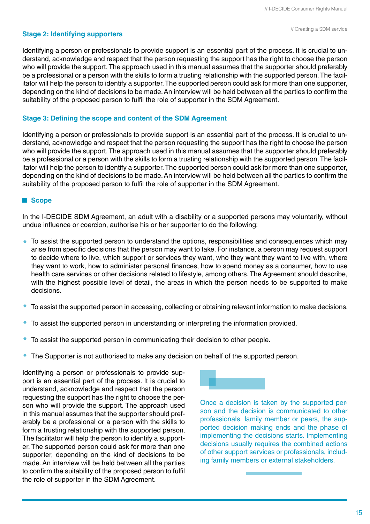### **Stage 2: Identifying supporters**

Identifying a person or professionals to provide support is an essential part of the process. It is crucial to understand, acknowledge and respect that the person requesting the support has the right to choose the person who will provide the support. The approach used in this manual assumes that the supporter should preferably be a professional or a person with the skills to form a trusting relationship with the supported person. The facilitator will help the person to identify a supporter. The supported person could ask for more than one supporter, depending on the kind of decisions to be made. An interview will be held between all the parties to confirm the suitability of the proposed person to fulfil the role of supporter in the SDM Agreement.

### **Stage 3: Defining the scope and content of the SDM Agreement**

Identifying a person or professionals to provide support is an essential part of the process. It is crucial to understand, acknowledge and respect that the person requesting the support has the right to choose the person who will provide the support. The approach used in this manual assumes that the supporter should preferably be a professional or a person with the skills to form a trusting relationship with the supported person. The facilitator will help the person to identify a supporter. The supported person could ask for more than one supporter, depending on the kind of decisions to be made. An interview will be held between all the parties to confirm the suitability of the proposed person to fulfil the role of supporter in the SDM Agreement.

### **Scope**

In the I-DECIDE SDM Agreement, an adult with a disability or a supported persons may voluntarily, without undue influence or coercion, authorise his or her supporter to do the following:

- To assist the supported person to understand the options, responsibilities and consequences which may arise from specific decisions that the person may want to take. For instance, a person may request support to decide where to live, which support or services they want, who they want they want to live with, where they want to work, how to administer personal finances, how to spend money as a consumer, how to use health care services or other decisions related to lifestyle, among others. The Agreement should describe, with the highest possible level of detail, the areas in which the person needs to be supported to make decisions.
- To assist the supported person in accessing, collecting or obtaining relevant information to make decisions.
- To assist the supported person in understanding or interpreting the information provided.
- To assist the supported person in communicating their decision to other people.
- The Supporter is not authorised to make any decision on behalf of the supported person.

Identifying a person or professionals to provide support is an essential part of the process. It is crucial to understand, acknowledge and respect that the person requesting the support has the right to choose the person who will provide the support. The approach used in this manual assumes that the supporter should preferably be a professional or a person with the skills to form a trusting relationship with the supported person. The facilitator will help the person to identify a supporter. The supported person could ask for more than one supporter, depending on the kind of decisions to be made. An interview will be held between all the parties to confirm the suitability of the proposed person to fulfil the role of supporter in the SDM Agreement.



Once a decision is taken by the supported person and the decision is communicated to other professionals, family member or peers, the supported decision making ends and the phase of implementing the decisions starts. Implementing decisions usually requires the combined actions of other support services or professionals, including family members or external stakeholders.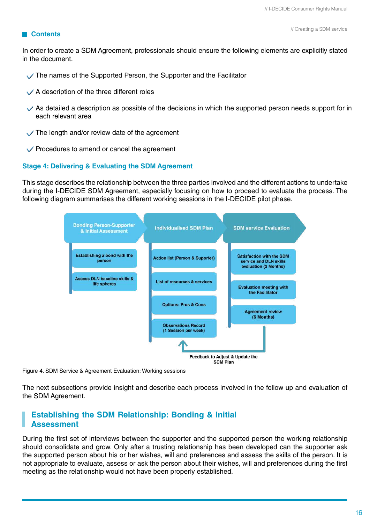#### **Contents**

In order to create a SDM Agreement, professionals should ensure the following elements are explicitly stated in the document.

- The names of the Supported Person, the Supporter and the Facilitator
- $\sqrt{\phantom{a}}$  A description of the three different roles
- $\vee$  As detailed a description as possible of the decisions in which the supported person needs support for in each relevant area
- $\vee$  The length and/or review date of the agreement
- $\vee$  Procedures to amend or cancel the agreement

### **Stage 4: Delivering & Evaluating the SDM Agreement**

This stage describes the relationship between the three parties involved and the different actions to undertake during the I-DECIDE SDM Agreement, especially focusing on how to proceed to evaluate the process. The following diagram summarises the different working sessions in the I-DECIDE pilot phase.



Figure 4. SDM Service & Agreement Evaluation: Working sessions

The next subsections provide insight and describe each process involved in the follow up and evaluation of the SDM Agreement.

### **Establishing the SDM Relationship: Bonding & Initial Assessment**

During the first set of interviews between the supporter and the supported person the working relationship should consolidate and grow. Only after a trusting relationship has been developed can the supporter ask the supported person about his or her wishes, will and preferences and assess the skills of the person. It is not appropriate to evaluate, assess or ask the person about their wishes, will and preferences during the first meeting as the relationship would not have been properly established.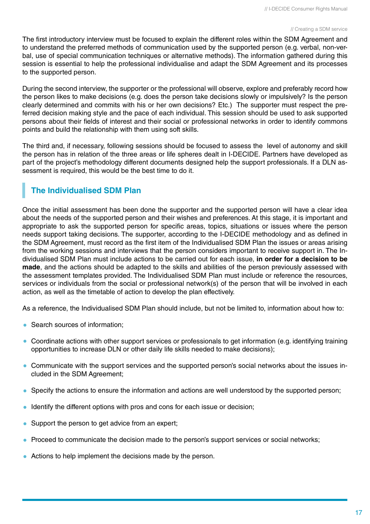The first introductory interview must be focused to explain the different roles within the SDM Agreement and to understand the preferred methods of communication used by the supported person (e.g. verbal, non-verbal, use of special communication techniques or alternative methods). The information gathered during this session is essential to help the professional individualise and adapt the SDM Agreement and its processes to the supported person.

During the second interview, the supporter or the professional will observe, explore and preferably record how the person likes to make decisions (e.g. does the person take decisions slowly or impulsively? Is the person clearly determined and commits with his or her own decisions? Etc.) The supporter must respect the preferred decision making style and the pace of each individual. This session should be used to ask supported persons about their fields of interest and their social or professional networks in order to identify commons points and build the relationship with them using soft skills.

The third and, if necessary, following sessions should be focused to assess the level of autonomy and skill the person has in relation of the three areas or life spheres dealt in I-DECIDE. Partners have developed as part of the project's methodology different documents designed help the support professionals. If a DLN assessment is required, this would be the best time to do it.

## **The Individualised SDM Plan**

Once the initial assessment has been done the supporter and the supported person will have a clear idea about the needs of the supported person and their wishes and preferences. At this stage, it is important and appropriate to ask the supported person for specific areas, topics, situations or issues where the person needs support taking decisions. The supporter, according to the I-DECIDE methodology and as defined in the SDM Agreement, must record as the first item of the Individualised SDM Plan the issues or areas arising from the working sessions and interviews that the person considers important to receive support in. The Individualised SDM Plan must include actions to be carried out for each issue, **in order for a decision to be made**, and the actions should be adapted to the skills and abilities of the person previously assessed with the assessment templates provided. The Individualised SDM Plan must include or reference the resources, services or individuals from the social or professional network(s) of the person that will be involved in each action, as well as the timetable of action to develop the plan effectively.

As a reference, the Individualised SDM Plan should include, but not be limited to, information about how to:

- Search sources of information:
- Coordinate actions with other support services or professionals to get information (e.g. identifying training opportunities to increase DLN or other daily life skills needed to make decisions);
- Communicate with the support services and the supported person's social networks about the issues included in the SDM Agreement;
- Specify the actions to ensure the information and actions are well understood by the supported person;
- Identify the different options with pros and cons for each issue or decision;
- Support the person to get advice from an expert;
- Proceed to communicate the decision made to the person's support services or social networks;
- Actions to help implement the decisions made by the person.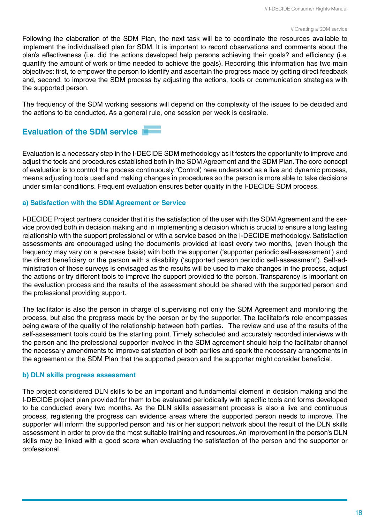Following the elaboration of the SDM Plan, the next task will be to coordinate the resources available to implement the individualised plan for SDM. It is important to record observations and comments about the plan's effectiveness (i.e. did the actions developed help persons achieving their goals? and efficiency (i.e. quantify the amount of work or time needed to achieve the goals). Recording this information has two main objectives: first, to empower the person to identify and ascertain the progress made by getting direct feedback and, second, to improve the SDM process by adjusting the actions, tools or communication strategies with the supported person.

The frequency of the SDM working sessions will depend on the complexity of the issues to be decided and the actions to be conducted. As a general rule, one session per week is desirable.

## **Evaluation of the SDM service**

Evaluation is a necessary step in the I-DECIDE SDM methodology as it fosters the opportunity to improve and adjust the tools and procedures established both in the SDM Agreement and the SDM Plan. The core concept of evaluation is to control the process continuously. 'Control', here understood as a live and dynamic process, means adjusting tools used and making changes in procedures so the person is more able to take decisions under similar conditions. Frequent evaluation ensures better quality in the I-DECIDE SDM process.

### **a) Satisfaction with the SDM Agreement or Service**

I-DECIDE Project partners consider that it is the satisfaction of the user with the SDM Agreement and the service provided both in decision making and in implementing a decision which is crucial to ensure a long lasting relationship with the support professional or with a service based on the I-DECIDE methodology. Satisfaction assessments are encouraged using the documents provided at least every two months, (even though the frequency may vary on a per-case basis) with both the supporter ('supporter periodic self-assessment') and the direct beneficiary or the person with a disability ('supported person periodic self-assessment'). Self-administration of these surveys is envisaged as the results will be used to make changes in the process, adjust the actions or try different tools to improve the support provided to the person. Transparency is important on the evaluation process and the results of the assessment should be shared with the supported person and the professional providing support.

The facilitator is also the person in charge of supervising not only the SDM Agreement and monitoring the process, but also the progress made by the person or by the supporter. The facilitator's role encompasses being aware of the quality of the relationship between both parties. The review and use of the results of the self-assessment tools could be the starting point. Timely scheduled and accurately recorded interviews with the person and the professional supporter involved in the SDM agreement should help the facilitator channel the necessary amendments to improve satisfaction of both parties and spark the necessary arrangements in the agreement or the SDM Plan that the supported person and the supporter might consider beneficial.

### **b) DLN skills progress assessment**

The project considered DLN skills to be an important and fundamental element in decision making and the I-DECIDE project plan provided for them to be evaluated periodically with specific tools and forms developed to be conducted every two months. As the DLN skills assessment process is also a live and continuous process, registering the progress can evidence areas where the supported person needs to improve. The supporter will inform the supported person and his or her support network about the result of the DLN skills assessment in order to provide the most suitable training and resources. An improvement in the person's DLN skills may be linked with a good score when evaluating the satisfaction of the person and the supporter or professional.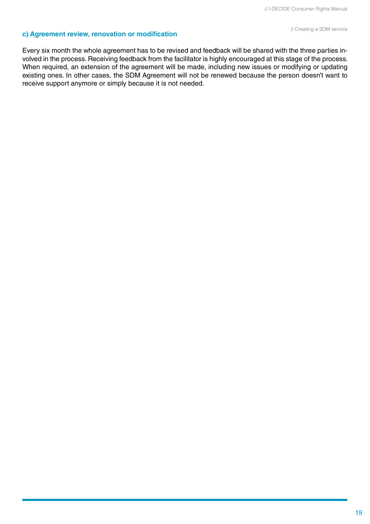## **c) Agreement review, renovation or modification** *a DM service // Creating a SDM service*

Every six month the whole agreement has to be revised and feedback will be shared with the three parties involved in the process. Receiving feedback from the facilitator is highly encouraged at this stage of the process. When required, an extension of the agreement will be made, including new issues or modifying or updating existing ones. In other cases, the SDM Agreement will not be renewed because the person doesn't want to receive support anymore or simply because it is not needed.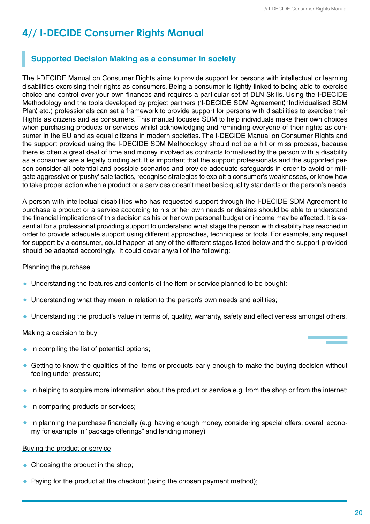## **4// I-DECIDE Consumer Rights Manual**

## **Supported Decision Making as a consumer in society**

The I-DECIDE Manual on Consumer Rights aims to provide support for persons with intellectual or learning disabilities exercising their rights as consumers. Being a consumer is tightly linked to being able to exercise choice and control over your own finances and requires a particular set of DLN Skills. Using the I-DECIDE Methodology and the tools developed by project partners ('I-DECIDE SDM Agreement', 'Individualised SDM Plan', etc.) professionals can set a framework to provide support for persons with disabilities to exercise their Rights as citizens and as consumers. This manual focuses SDM to help individuals make their own choices when purchasing products or services whilst acknowledging and reminding everyone of their rights as consumer in the EU and as equal citizens in modern societies. The I-DECIDE Manual on Consumer Rights and the support provided using the I-DECIDE SDM Methodology should not be a hit or miss process, because there is often a great deal of time and money involved as contracts formalised by the person with a disability as a consumer are a legally binding act. It is important that the support professionals and the supported person consider all potential and possible scenarios and provide adequate safeguards in order to avoid or mitigate aggressive or 'pushy' sale tactics, recognise strategies to exploit a consumer's weaknesses, or know how to take proper action when a product or a services doesn't meet basic quality standards or the person's needs.

A person with intellectual disabilities who has requested support through the I-DECIDE SDM Agreement to purchase a product or a service according to his or her own needs or desires should be able to understand the financial implications of this decision as his or her own personal budget or income may be affected. It is essential for a professional providing support to understand what stage the person with disability has reached in order to provide adequate support using different approaches, techniques or tools. For example, any request for support by a consumer, could happen at any of the different stages listed below and the support provided should be adapted accordingly. It could cover any/all of the following:

### Planning the purchase

- Understanding the features and contents of the item or service planned to be bought;
- Understanding what they mean in relation to the person's own needs and abilities;
- Understanding the product's value in terms of, quality, warranty, safety and effectiveness amongst others.

### Making a decision to buy

- In compiling the list of potential options;
- Getting to know the qualities of the items or products early enough to make the buying decision without feeling under pressure;
- In helping to acquire more information about the product or service e.g. from the shop or from the internet;
- In comparing products or services;
- $\bullet$ In planning the purchase financially (e.g. having enough money, considering special offers, overall economy for example in "package offerings" and lending money)

### Buying the product or service

- Choosing the product in the shop;
- Paying for the product at the checkout (using the chosen payment method);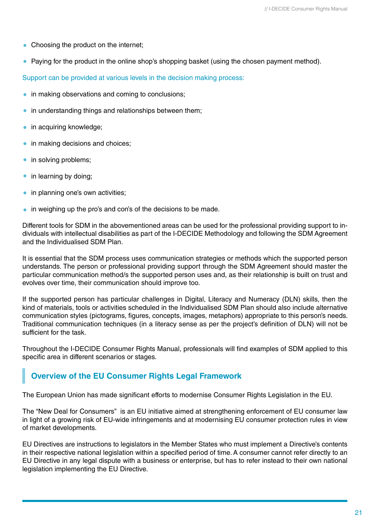- Choosing the product on the internet:
- Paying for the product in the online shop's shopping basket (using the chosen payment method).

Support can be provided at various levels in the decision making process:

- in making observations and coming to conclusions;
- in understanding things and relationships between them;
- in acquiring knowledge;
- in making decisions and choices;
- in solving problems;
- in learning by doing;
- in planning one's own activities;
- in weighing up the pro's and con's of the decisions to be made.

Different tools for SDM in the abovementioned areas can be used for the professional providing support to individuals with intellectual disabilities as part of the I-DECIDE Methodology and following the SDM Agreement and the Individualised SDM Plan.

It is essential that the SDM process uses communication strategies or methods which the supported person understands. The person or professional providing support through the SDM Agreement should master the particular communication method/s the supported person uses and, as their relationship is built on trust and evolves over time, their communication should improve too.

If the supported person has particular challenges in Digital, Literacy and Numeracy (DLN) skills, then the kind of materials, tools or activities scheduled in the Individualised SDM Plan should also include alternative communication styles (pictograms, figures, concepts, images, metaphors) appropriate to this person's needs. Traditional communication techniques (in a literacy sense as per the project's definition of DLN) will not be sufficient for the task.

Throughout the I-DECIDE Consumer Rights Manual, professionals will find examples of SDM applied to this specific area in different scenarios or stages.

### **Overview of the EU Consumer Rights Legal Framework**

The European Union has made significant efforts to modernise Consumer Rights Legislation in the EU.

The "New Deal for Consumers" is an EU initiative aimed at strengthening enforcement of EU consumer law in light of a growing risk of EU-wide infringements and at modernising EU consumer protection rules in view of market developments.

EU Directives are instructions to legislators in the Member States who must implement a Directive's contents in their respective national legislation within a specified period of time. A consumer cannot refer directly to an EU Directive in any legal dispute with a business or enterprise, but has to refer instead to their own national legislation implementing the EU Directive.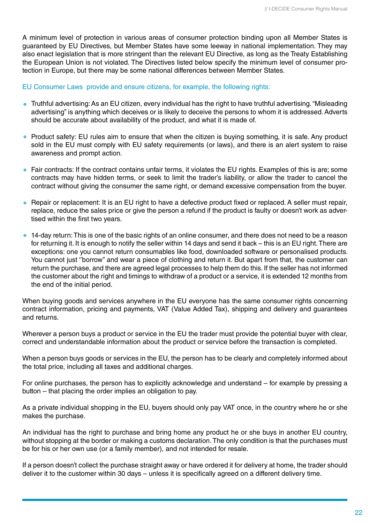A minimum level of protection in various areas of consumer protection binding upon all Member States is guaranteed by EU Directives, but Member States have some leeway in national implementation. They may also enact legislation that is more stringent than the relevant EU Directive, as long as the Treaty Establishing the European Union is not violated. The Directives listed below specify the minimum level of consumer protection in Europe, but there may be some national differences between Member States.

### EU Consumer Laws provide and ensure citizens, for example, the following rights:

- Truthful advertising: As an EU citizen, every individual has the right to have truthful advertising. "Misleading advertising" is anything which deceives or is likely to deceive the persons to whom it is addressed. Adverts should be accurate about availability of the product, and what it is made of.
- Product safety: EU rules aim to ensure that when the citizen is buying something, it is safe. Any product sold in the EU must comply with EU safety requirements (or laws), and there is an alert system to raise awareness and prompt action.
- Fair contracts: If the contract contains unfair terms, it violates the EU rights. Examples of this is are; some contracts may have hidden terms, or seek to limit the trader's liability, or allow the trader to cancel the contract without giving the consumer the same right, or demand excessive compensation from the buyer.
- Repair or replacement: It is an EU right to have a defective product fixed or replaced. A seller must repair, replace, reduce the sales price or give the person a refund if the product is faulty or doesn't work as advertised within the first two years.
- 14-day return: This is one of the basic rights of an online consumer, and there does not need to be a reason for returning it. It is enough to notify the seller within 14 days and send it back – this is an EU right. There are exceptions: one you cannot return consumables like food, downloaded software or personalised products. You cannot just ''borrow'' and wear a piece of clothing and return it. But apart from that, the customer can return the purchase, and there are agreed legal processes to help them do this. If the seller has not informed the customer about the right and timings to withdraw of a product or a service, it is extended 12 months from the end of the initial period.

When buying goods and services anywhere in the EU everyone has the same consumer rights concerning contract information, pricing and payments, VAT (Value Added Tax), shipping and delivery and guarantees and returns.

Wherever a person buys a product or service in the EU the trader must provide the potential buyer with clear, correct and understandable information about the product or service before the transaction is completed.

When a person buys goods or services in the EU, the person has to be clearly and completely informed about the total price, including all taxes and additional charges.

For online purchases, the person has to explicitly acknowledge and understand – for example by pressing a button – that placing the order implies an obligation to pay.

As a private individual shopping in the EU, buyers should only pay VAT once, in the country where he or she makes the purchase.

An individual has the right to purchase and bring home any product he or she buys in another EU country, without stopping at the border or making a customs declaration. The only condition is that the purchases must be for his or her own use (or a family member), and not intended for resale.

If a person doesn't collect the purchase straight away or have ordered it for delivery at home, the trader should deliver it to the customer within 30 days – unless it is specifically agreed on a different delivery time.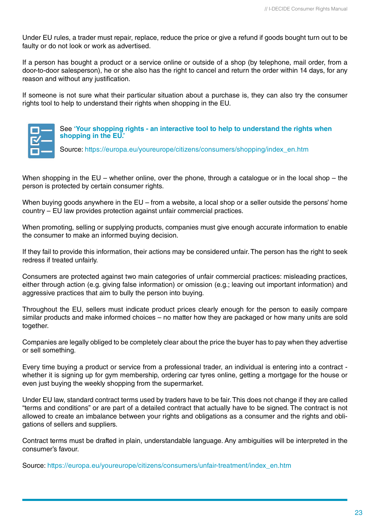Under EU rules, a trader must repair, replace, reduce the price or give a refund if goods bought turn out to be faulty or do not look or work as advertised.

If a person has bought a product or a service online or outside of a shop (by telephone, mail order, from a door-to-door salesperson), he or she also has the right to cancel and return the order within 14 days, for any reason and without any justification.

If someone is not sure what their particular situation about a purchase is, they can also try the consumer rights tool to help to understand their rights when shopping in the EU.



### See **['Your shopping rights - an interactive tool to help to understand the rights when](https://europa.eu/youreurope/citizens/consumers/shopping/shopping-consumer-rights/index_en.htm)  [shopping in the EU.'](https://europa.eu/youreurope/citizens/consumers/shopping/shopping-consumer-rights/index_en.htm)**

Source: [https://europa.eu/youreurope/citizens/consumers/shopping/index\\_en.htm](https://europa.eu/youreurope/citizens/consumers/shopping/index_en.htm)

When shopping in the EU – whether online, over the phone, through a catalogue or in the local shop – the person is protected by certain consumer rights.

When buying goods anywhere in the EU – from a website, a local shop or a seller outside the persons' home country – EU law provides protection against unfair commercial practices.

When promoting, selling or supplying products, companies must give enough accurate information to enable the consumer to make an informed buying decision.

If they fail to provide this information, their actions may be considered unfair. The person has the right to seek redress if treated unfairly.

Consumers are protected against two main categories of unfair commercial practices: misleading practices, either through action (e.g. giving false information) or omission (e.g.; leaving out important information) and aggressive practices that aim to bully the person into buying.

Throughout the EU, sellers must indicate product prices clearly enough for the person to easily compare similar products and make informed choices – no matter how they are packaged or how many units are sold together.

Companies are legally obliged to be completely clear about the price the buyer has to pay when they advertise or sell something.

Every time buying a product or service from a professional trader, an individual is entering into a contract whether it is signing up for gym membership, ordering car tyres online, getting a mortgage for the house or even just buying the weekly shopping from the supermarket.

Under EU law, standard contract terms used by traders have to be fair. This does not change if they are called "terms and conditions" or are part of a detailed contract that actually have to be signed. The contract is not allowed to create an imbalance between your rights and obligations as a consumer and the rights and obligations of sellers and suppliers.

Contract terms must be drafted in plain, understandable language. Any ambiguities will be interpreted in the consumer's favour.

Source: [https://europa.eu/youreurope/citizens/consumers/unfair-treatment/index\\_en.htm](https://europa.eu/youreurope/citizens/consumers/unfair-treatment/index_en.htm)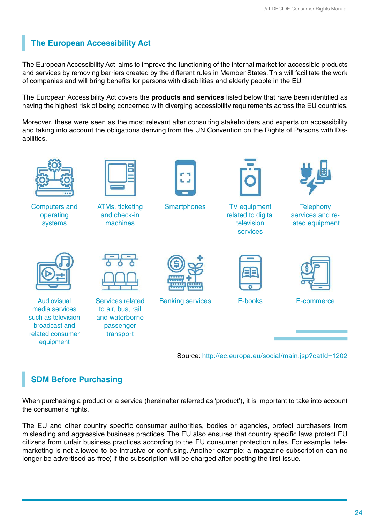## **The European Accessibility Act**

The European Accessibility Act aims to improve the functioning of the internal market for accessible products and services by removing barriers created by the different rules in Member States. This will facilitate the work of companies and will bring benefits for persons with disabilities and elderly people in the EU.

The European Accessibility Act covers the **products and services** listed below that have been identified as having the highest risk of being concerned with diverging accessibility requirements across the EU countries.

Moreover, these were seen as the most relevant after consulting stakeholders and experts on accessibility and taking into account the obligations deriving from the UN Convention on the Rights of Persons with Disabilities.



Computers and operating systems



ATMs, ticketing and check-in machines



**Smartphones** 



TV equipment related to digital television services



**Telephony** services and related equipment



Audiovisual media services such as television broadcast and related consumer equipment



Services related to air, bus, rail and waterborne passenger transport



Banking services



E-books



E-commerce

Source:<http://ec.europa.eu/social/main.jsp?catId=1202>

## **SDM Before Purchasing**

When purchasing a product or a service (hereinafter referred as 'product'), it is important to take into account the consumer's rights.

The EU and other country specific consumer authorities, bodies or agencies, protect purchasers from misleading and aggressive business practices. The EU also ensures that country specific laws protect EU citizens from unfair business practices according to the EU consumer protection rules. For example, telemarketing is not allowed to be intrusive or confusing. Another example: a magazine subscription can no longer be advertised as 'free', if the subscription will be charged after posting the first issue.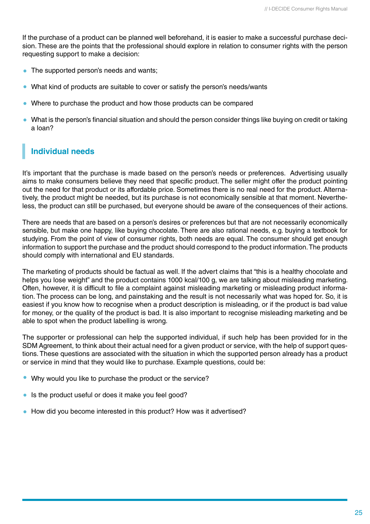If the purchase of a product can be planned well beforehand, it is easier to make a successful purchase decision. These are the points that the professional should explore in relation to consumer rights with the person requesting support to make a decision:

- The supported person's needs and wants;
- What kind of products are suitable to cover or satisfy the person's needs/wants
- Where to purchase the product and how those products can be compared
- What is the person's financial situation and should the person consider things like buying on credit or taking a loan?

## **Individual needs**

It's important that the purchase is made based on the person's needs or preferences. Advertising usually aims to make consumers believe they need that specific product. The seller might offer the product pointing out the need for that product or its affordable price. Sometimes there is no real need for the product. Alternatively, the product might be needed, but its purchase is not economically sensible at that moment. Nevertheless, the product can still be purchased, but everyone should be aware of the consequences of their actions.

There are needs that are based on a person's desires or preferences but that are not necessarily economically sensible, but make one happy, like buying chocolate. There are also rational needs, e.g. buying a textbook for studying. From the point of view of consumer rights, both needs are equal. The consumer should get enough information to support the purchase and the product should correspond to the product information. The products should comply with international and EU standards.

The marketing of products should be factual as well. If the advert claims that "this is a healthy chocolate and helps you lose weight" and the product contains 1000 kcal/100 g, we are talking about misleading marketing. Often, however, it is difficult to file a complaint against misleading marketing or misleading product information. The process can be long, and painstaking and the result is not necessarily what was hoped for. So, it is easiest if you know how to recognise when a product description is misleading, or if the product is bad value for money, or the quality of the product is bad. It is also important to recognise misleading marketing and be able to spot when the product labelling is wrong.

The supporter or professional can help the supported individual, if such help has been provided for in the SDM Agreement, to think about their actual need for a given product or service, with the help of support questions. These questions are associated with the situation in which the supported person already has a product or service in mind that they would like to purchase. Example questions, could be:

- Why would you like to purchase the product or the service?
- Is the product useful or does it make you feel good?
- How did you become interested in this product? How was it advertised?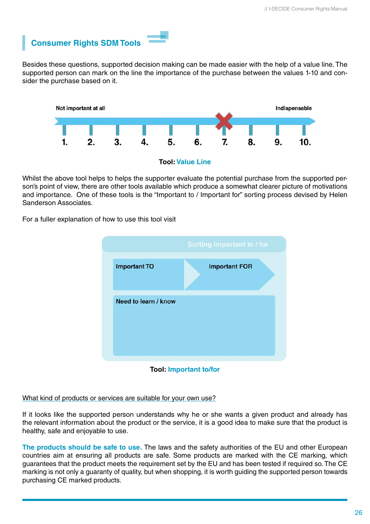

Besides these questions, supported decision making can be made easier with the help of a value line. The supported person can mark on the line the importance of the purchase between the values 1-10 and consider the purchase based on it.



Whilst the above tool helps to helps the supporter evaluate the potential purchase from the supported person's point of view, there are other tools available which produce a somewhat clearer picture of motivations and importance. One of these tools is the "Important to / Important for" sorting process devised by Helen Sanderson Associates.

For a fuller explanation of how to use this tool visit



**Tool: Important to/for**

What kind of products or services are suitable for your own use?

If it looks like the supported person understands why he or she wants a given product and already has the relevant information about the product or the service, it is a good idea to make sure that the product is healthy, safe and enjoyable to use.

**The products should be safe to use.** The laws and the safety authorities of the EU and other European countries aim at ensuring all products are safe. Some products are marked with the CE marking, which guarantees that the product meets the requirement set by the EU and has been tested if required so. The CE marking is not only a guaranty of quality, but when shopping, it is worth guiding the supported person towards purchasing CE marked products.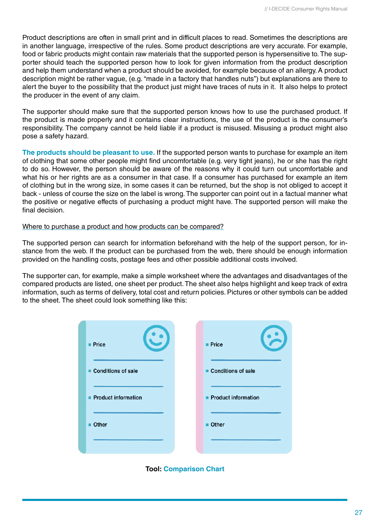Product descriptions are often in small print and in difficult places to read. Sometimes the descriptions are in another language, irrespective of the rules. Some product descriptions are very accurate. For example, food or fabric products might contain raw materials that the supported person is hypersensitive to. The supporter should teach the supported person how to look for given information from the product description and help them understand when a product should be avoided, for example because of an allergy. A product description might be rather vague, (e.g. "made in a factory that handles nuts") but explanations are there to alert the buyer to the possibility that the product just might have traces of nuts in it. It also helps to protect the producer in the event of any claim.

The supporter should make sure that the supported person knows how to use the purchased product. If the product is made properly and it contains clear instructions, the use of the product is the consumer's responsibility. The company cannot be held liable if a product is misused. Misusing a product might also pose a safety hazard.

**The products should be pleasant to use.** If the supported person wants to purchase for example an item of clothing that some other people might find uncomfortable (e.g. very tight jeans), he or she has the right to do so. However, the person should be aware of the reasons why it could turn out uncomfortable and what his or her rights are as a consumer in that case. If a consumer has purchased for example an item of clothing but in the wrong size, in some cases it can be returned, but the shop is not obliged to accept it back - unless of course the size on the label is wrong. The supporter can point out in a factual manner what the positive or negative effects of purchasing a product might have. The supported person will make the final decision.

### Where to purchase a product and how products can be compared?

The supported person can search for information beforehand with the help of the support person, for instance from the web. If the product can be purchased from the web, there should be enough information provided on the handling costs, postage fees and other possible additional costs involved.

The supporter can, for example, make a simple worksheet where the advantages and disadvantages of the compared products are listed, one sheet per product. The sheet also helps highlight and keep track of extra information, such as terms of delivery, total cost and return policies. Pictures or other symbols can be added to the sheet. The sheet could look something like this:

| <b>Price</b>          | <b>Price</b>        |
|-----------------------|---------------------|
| Conditions of sale    | Conditions of sale  |
| ■ Product information | Product information |
| Other<br>ш            | <b>Other</b>        |
|                       |                     |

**Tool: Comparison Chart**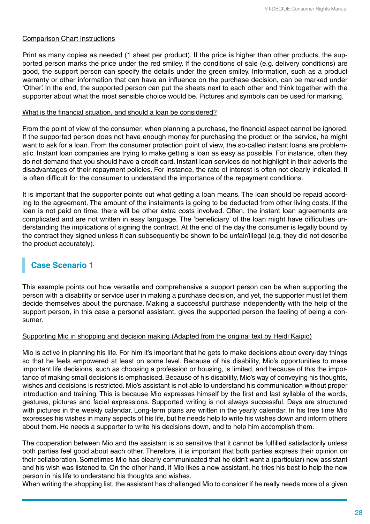### Comparison Chart Instructions

Print as many copies as needed (1 sheet per product). If the price is higher than other products, the supported person marks the price under the red smiley. If the conditions of sale (e.g. delivery conditions) are good, the support person can specify the details under the green smiley. Information, such as a product warranty or other information that can have an influence on the purchase decision, can be marked under 'Other'. In the end, the supported person can put the sheets next to each other and think together with the supporter about what the most sensible choice would be. Pictures and symbols can be used for marking.

### What is the financial situation, and should a loan be considered?

From the point of view of the consumer, when planning a purchase, the financial aspect cannot be ignored. If the supported person does not have enough money for purchasing the product or the service, he might want to ask for a loan. From the consumer protection point of view, the so-called instant loans are problematic. Instant loan companies are trying to make getting a loan as easy as possible. For instance, often they do not demand that you should have a credit card. Instant loan services do not highlight in their adverts the disadvantages of their repayment policies. For instance, the rate of interest is often not clearly indicated. It is often difficult for the consumer to understand the importance of the repayment conditions.

It is important that the supporter points out what getting a loan means. The loan should be repaid according to the agreement. The amount of the instalments is going to be deducted from other living costs. If the loan is not paid on time, there will be other extra costs involved. Often, the instant loan agreements are complicated and are not written in easy language. The 'beneficiary' of the loan might have difficulties understanding the implications of signing the contract. At the end of the day the consumer is legally bound by the contract they signed unless it can subsequently be shown to be unfair/illegal (e.g. they did not describe the product accurately).

## **Case Scenario 1**

This example points out how versatile and comprehensive a support person can be when supporting the person with a disability or service user in making a purchase decision, and yet, the supporter must let them decide themselves about the purchase. Making a successful purchase independently with the help of the support person, in this case a personal assistant, gives the supported person the feeling of being a consumer.

### Supporting Mio in shopping and decision making (Adapted from the original text by Heidi Kaipio)

Mio is active in planning his life. For him it's important that he gets to make decisions about every-day things so that he feels empowered at least on some level. Because of his disability, Mio's opportunities to make important life decisions, such as choosing a profession or housing, is limited, and because of this the importance of making small decisions is emphasised. Because of his disability, Mio's way of conveying his thoughts, wishes and decisions is restricted. Mio's assistant is not able to understand his communication without proper introduction and training. This is because Mio expresses himself by the first and last syllable of the words, gestures, pictures and facial expressions. Supported writing is not always successful. Days are structured with pictures in the weekly calendar. Long-term plans are written in the yearly calendar. In his free time Mio expresses his wishes in many aspects of his life, but he needs help to write his wishes down and inform others about them. He needs a supporter to write his decisions down, and to help him accomplish them.

The cooperation between Mio and the assistant is so sensitive that it cannot be fulfilled satisfactorily unless both parties feel good about each other. Therefore, it is important that both parties express their opinion on their collaboration. Sometimes Mio has clearly communicated that he didn't want a (particular) new assistant and his wish was listened to. On the other hand, if Mio likes a new assistant, he tries his best to help the new person in his life to understand his thoughts and wishes.

When writing the shopping list, the assistant has challenged Mio to consider if he really needs more of a given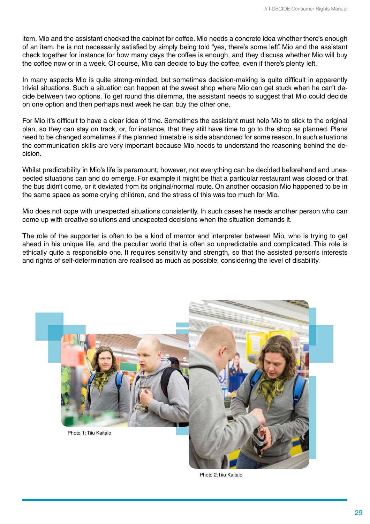item. Mio and the assistant checked the cabinet for coffee. Mio needs a concrete idea whether there's enough of an item, he is not necessarily satisfied by simply being told "yes, there's some left". Mio and the assistant check together for instance for how many days the coffee is enough, and they discuss whether Mio will buy the coffee now or in a week. Of course, Mio can decide to buy the coffee, even if there's plenty left.

In many aspects Mio is quite strong-minded, but sometimes decision-making is quite difficult in apparently trivial situations. Such a situation can happen at the sweet shop where Mio can get stuck when he can't decide between two options. To get round this dilemma, the assistant needs to suggest that Mio could decide on one option and then perhaps next week he can buy the other one.

For Mio it's difficult to have a clear idea of time. Sometimes the assistant must help Mio to stick to the original plan, so they can stay on track, or, for instance, that they still have time to go to the shop as planned. Plans need to be changed sometimes if the planned timetable is side abandoned for some reason. In such situations the communication skills are very important because Mio needs to understand the reasoning behind the decision.

Whilst predictability in Mio's life is paramount, however, not everything can be decided beforehand and unexpected situations can and do emerge. For example it might be that a particular restaurant was closed or that the bus didn't come, or it deviated from its original/normal route. On another occasion Mio happened to be in the same space as some crying children, and the stress of this was too much for Mio.

Mio does not cope with unexpected situations consistently. In such cases he needs another person who can come up with creative solutions and unexpected decisions when the situation demands it.

The role of the supporter is often to be a kind of mentor and interpreter between Mio, who is trying to get ahead in his unique life, and the peculiar world that is often so unpredictable and complicated. This role is ethically quite a responsible one. It requires sensitivity and strength, so that the assisted person's interests and rights of self-determination are realised as much as possible, considering the level of disability.



Photo 2:Tiiu Kaitalo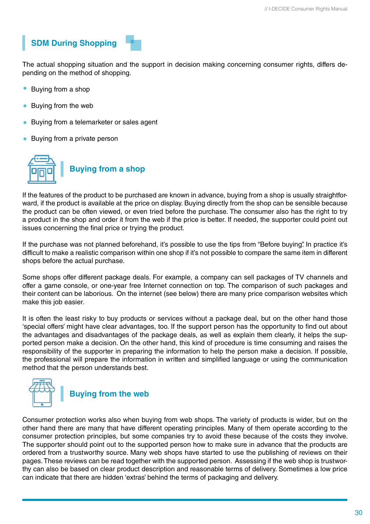## **SDM During Shopping**

The actual shopping situation and the support in decision making concerning consumer rights, differs depending on the method of shopping.

- Buying from a shop
- Buying from the web
- Buying from a telemarketer or sales agent
- Buying from a private person



If the features of the product to be purchased are known in advance, buying from a shop is usually straightforward, if the product is available at the price on display. Buying directly from the shop can be sensible because the product can be often viewed, or even tried before the purchase. The consumer also has the right to try a product in the shop and order it from the web if the price is better. If needed, the supporter could point out issues concerning the final price or trying the product.

If the purchase was not planned beforehand, it's possible to use the tips from "Before buying". In practice it's difficult to make a realistic comparison within one shop if it's not possible to compare the same item in different shops before the actual purchase.

Some shops offer different package deals. For example, a company can sell packages of TV channels and offer a game console, or one-year free Internet connection on top. The comparison of such packages and their content can be laborious. On the internet (see below) there are many price comparison websites which make this job easier.

It is often the least risky to buy products or services without a package deal, but on the other hand those 'special offers' might have clear advantages, too. If the support person has the opportunity to find out about the advantages and disadvantages of the package deals, as well as explain them clearly, it helps the supported person make a decision. On the other hand, this kind of procedure is time consuming and raises the responsibility of the supporter in preparing the information to help the person make a decision. If possible, the professional will prepare the information in written and simplified language or using the communication method that the person understands best.



## **Buying from the web**

Consumer protection works also when buying from web shops. The variety of products is wider, but on the other hand there are many that have different operating principles. Many of them operate according to the consumer protection principles, but some companies try to avoid these because of the costs they involve. The supporter should point out to the supported person how to make sure in advance that the products are ordered from a trustworthy source. Many web shops have started to use the publishing of reviews on their pages. These reviews can be read together with the supported person. Assessing if the web shop is trustworthy can also be based on clear product description and reasonable terms of delivery. Sometimes a low price can indicate that there are hidden 'extras' behind the terms of packaging and delivery.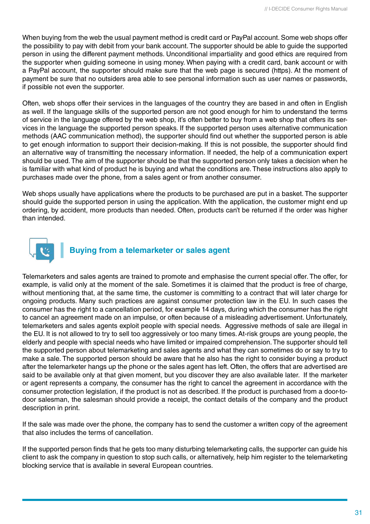When buying from the web the usual payment method is credit card or PayPal account. Some web shops offer the possibility to pay with debit from your bank account. The supporter should be able to guide the supported person in using the different payment methods. Unconditional impartiality and good ethics are required from the supporter when guiding someone in using money. When paying with a credit card, bank account or with a PayPal account, the supporter should make sure that the web page is secured (https). At the moment of payment be sure that no outsiders area able to see personal information such as user names or passwords, if possible not even the supporter.

Often, web shops offer their services in the languages of the country they are based in and often in English as well. If the language skills of the supported person are not good enough for him to understand the terms of service in the language offered by the web shop, it's often better to buy from a web shop that offers its services in the language the supported person speaks. If the supported person uses alternative communication methods (AAC communication method), the supporter should find out whether the supported person is able to get enough information to support their decision-making. If this is not possible, the supporter should find an alternative way of transmitting the necessary information. If needed, the help of a communication expert should be used. The aim of the supporter should be that the supported person only takes a decision when he is familiar with what kind of product he is buying and what the conditions are. These instructions also apply to purchases made over the phone, from a sales agent or from another consumer.

Web shops usually have applications where the products to be purchased are put in a basket. The supporter should guide the supported person in using the application. With the application, the customer might end up ordering, by accident, more products than needed. Often, products can't be returned if the order was higher than intended.



## **Buying from a telemarketer or sales agent**

Telemarketers and sales agents are trained to promote and emphasise the current special offer. The offer, for example, is valid only at the moment of the sale. Sometimes it is claimed that the product is free of charge, without mentioning that, at the same time, the customer is committing to a contract that will later charge for ongoing products. Many such practices are against consumer protection law in the EU. In such cases the consumer has the right to a cancellation period, for example 14 days, during which the consumer has the right to cancel an agreement made on an impulse, or often because of a misleading advertisement. Unfortunately, telemarketers and sales agents exploit people with special needs. Aggressive methods of sale are illegal in the EU. It is not allowed to try to sell too aggressively or too many times. At-risk groups are young people, the elderly and people with special needs who have limited or impaired comprehension. The supporter should tell the supported person about telemarketing and sales agents and what they can sometimes do or say to try to make a sale. The supported person should be aware that he also has the right to consider buying a product after the telemarketer hangs up the phone or the sales agent has left. Often, the offers that are advertised are said to be available only at that given moment, but you discover they are also available later. If the marketer or agent represents a company, the consumer has the right to cancel the agreement in accordance with the consumer protection legislation, if the product is not as described. If the product is purchased from a door-todoor salesman, the salesman should provide a receipt, the contact details of the company and the product description in print.

If the sale was made over the phone, the company has to send the customer a written copy of the agreement that also includes the terms of cancellation.

If the supported person finds that he gets too many disturbing telemarketing calls, the supporter can guide his client to ask the company in question to stop such calls, or alternatively, help him register to the telemarketing blocking service that is available in several European countries.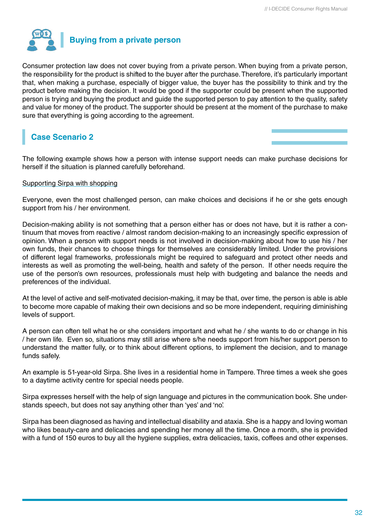

Consumer protection law does not cover buying from a private person. When buying from a private person, the responsibility for the product is shifted to the buyer after the purchase. Therefore, it's particularly important that, when making a purchase, especially of bigger value, the buyer has the possibility to think and try the product before making the decision. It would be good if the supporter could be present when the supported person is trying and buying the product and guide the supported person to pay attention to the quality, safety and value for money of the product. The supporter should be present at the moment of the purchase to make sure that everything is going according to the agreement.

## **Case Scenario 2**

The following example shows how a person with intense support needs can make purchase decisions for herself if the situation is planned carefully beforehand.

### Supporting Sirpa with shopping

Everyone, even the most challenged person, can make choices and decisions if he or she gets enough support from his / her environment.

Decision-making ability is not something that a person either has or does not have, but it is rather a continuum that moves from reactive / almost random decision-making to an increasingly specific expression of opinion. When a person with support needs is not involved in decision-making about how to use his / her own funds, their chances to choose things for themselves are considerably limited. Under the provisions of different legal frameworks, professionals might be required to safeguard and protect other needs and interests as well as promoting the well-being, health and safety of the person. If other needs require the use of the person's own resources, professionals must help with budgeting and balance the needs and preferences of the individual.

At the level of active and self-motivated decision-making, it may be that, over time, the person is able is able to become more capable of making their own decisions and so be more independent, requiring diminishing levels of support.

A person can often tell what he or she considers important and what he / she wants to do or change in his / her own life. Even so, situations may still arise where s/he needs support from his/her support person to understand the matter fully, or to think about different options, to implement the decision, and to manage funds safely.

An example is 51-year-old Sirpa. She lives in a residential home in Tampere. Three times a week she goes to a daytime activity centre for special needs people.

Sirpa expresses herself with the help of sign language and pictures in the communication book. She understands speech, but does not say anything other than 'yes' and 'no'.

Sirpa has been diagnosed as having and intellectual disability and ataxia. She is a happy and loving woman who likes beauty-care and delicacies and spending her money all the time. Once a month, she is provided with a fund of 150 euros to buy all the hygiene supplies, extra delicacies, taxis, coffees and other expenses.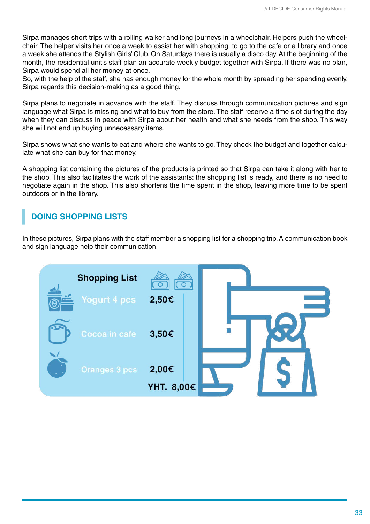Sirpa manages short trips with a rolling walker and long journeys in a wheelchair. Helpers push the wheelchair. The helper visits her once a week to assist her with shopping, to go to the cafe or a library and once a week she attends the Stylish Girls' Club. On Saturdays there is usually a disco day. At the beginning of the month, the residential unit's staff plan an accurate weekly budget together with Sirpa. If there was no plan, Sirpa would spend all her money at once.

So, with the help of the staff, she has enough money for the whole month by spreading her spending evenly. Sirpa regards this decision-making as a good thing.

Sirpa plans to negotiate in advance with the staff. They discuss through communication pictures and sign language what Sirpa is missing and what to buy from the store. The staff reserve a time slot during the day when they can discuss in peace with Sirpa about her health and what she needs from the shop. This way she will not end up buying unnecessary items.

Sirpa shows what she wants to eat and where she wants to go. They check the budget and together calculate what she can buy for that money.

A shopping list containing the pictures of the products is printed so that Sirpa can take it along with her to the shop. This also facilitates the work of the assistants: the shopping list is ready, and there is no need to negotiate again in the shop. This also shortens the time spent in the shop, leaving more time to be spent outdoors or in the library.

## **DOING SHOPPING LISTS**

In these pictures, Sirpa plans with the staff member a shopping list for a shopping trip. A communication book and sign language help their communication.

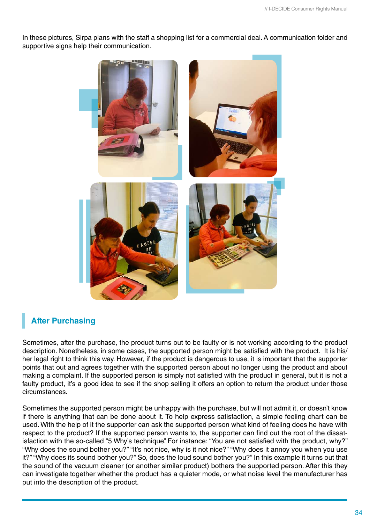In these pictures, Sirpa plans with the staff a shopping list for a commercial deal. A communication folder and supportive signs help their communication.



## **After Purchasing**

Sometimes, after the purchase, the product turns out to be faulty or is not working according to the product description. Nonetheless, in some cases, the supported person might be satisfied with the product. It is his/ her legal right to think this way. However, if the product is dangerous to use, it is important that the supporter points that out and agrees together with the supported person about no longer using the product and about making a complaint. If the supported person is simply not satisfied with the product in general, but it is not a faulty product, it's a good idea to see if the shop selling it offers an option to return the product under those circumstances.

Sometimes the supported person might be unhappy with the purchase, but will not admit it, or doesn't know if there is anything that can be done about it. To help express satisfaction, a simple feeling chart can be used. With the help of it the supporter can ask the supported person what kind of feeling does he have with respect to the product? If the supported person wants to, the supporter can find out the root of the dissatisfaction with the so-called "5 Why's technique". For instance: "You are not satisfied with the product, why?" "Why does the sound bother you?" "It's not nice, why is it not nice?" "Why does it annoy you when you use it?" "Why does its sound bother you?" So, does the loud sound bother you?" In this example it turns out that the sound of the vacuum cleaner (or another similar product) bothers the supported person. After this they can investigate together whether the product has a quieter mode, or what noise level the manufacturer has put into the description of the product.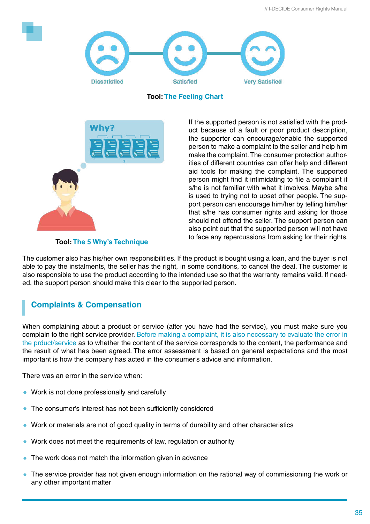

**Tool: The Feeling Chart**



If the supported person is not satisfied with the product because of a fault or poor product description, the supporter can encourage/enable the supported person to make a complaint to the seller and help him make the complaint. The consumer protection authorities of different countries can offer help and different aid tools for making the complaint. The supported person might find it intimidating to file a complaint if s/he is not familiar with what it involves. Maybe s/he is used to trying not to upset other people. The support person can encourage him/her by telling him/her that s/he has consumer rights and asking for those should not offend the seller. The support person can also point out that the supported person will not have to face any repercussions from asking for their rights.

### **Tool: The 5 Why's Technique**

The customer also has his/her own responsibilities. If the product is bought using a loan, and the buyer is not able to pay the instalments, the seller has the right, in some conditions, to cancel the deal. The customer is also responsible to use the product according to the intended use so that the warranty remains valid. If needed, the support person should make this clear to the supported person.

## **Complaints & Compensation**

When complaining about a product or service (after you have had the service), you must make sure you complain to the right service provider. Before making a complaint, it is also necessary to evaluate the error in the prduct/service as to whether the content of the service corresponds to the content, the performance and the result of what has been agreed. The error assessment is based on general expectations and the most important is how the company has acted in the consumer's advice and information.

There was an error in the service when:

- Work is not done professionally and carefully
- The consumer's interest has not been sufficiently considered
- Work or materials are not of good quality in terms of durability and other characteristics
- Work does not meet the requirements of law, regulation or authority
- The work does not match the information given in advance
- The service provider has not given enough information on the rational way of commissioning the work or any other important matter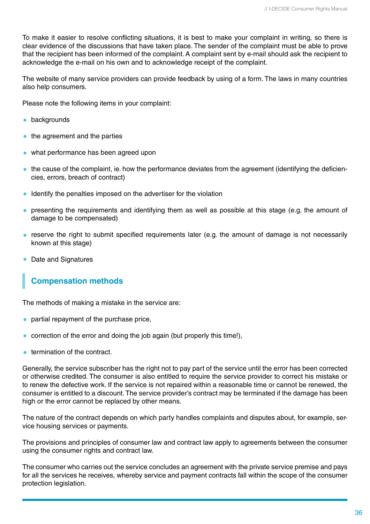To make it easier to resolve conflicting situations, it is best to make your complaint in writing, so there is clear evidence of the discussions that have taken place. The sender of the complaint must be able to prove that the recipient has been informed of the complaint. A complaint sent by e-mail should ask the recipient to acknowledge the e-mail on his own and to acknowledge receipt of the complaint.

The website of many service providers can provide feedback by using of a form. The laws in many countries also help consumers.

Please note the following items in your complaint:

- **•** backgrounds
- the agreement and the parties
- what performance has been agreed upon
- the cause of the complaint, ie. how the performance deviates from the agreement (identifying the deficiencies, errors, breach of contract)
- **I** Identify the penalties imposed on the advertiser for the violation
- presenting the requirements and identifying them as well as possible at this stage (e.g. the amount of damage to be compensated)
- reserve the right to submit specified requirements later (e.g. the amount of damage is not necessarily known at this stage)
- Date and Signatures

### **Compensation methods**

The methods of making a mistake in the service are:

- **•** partial repayment of the purchase price,
- correction of the error and doing the job again (but properly this time!),
- **•** termination of the contract.

Generally, the service subscriber has the right not to pay part of the service until the error has been corrected or otherwise credited. The consumer is also entitled to require the service provider to correct his mistake or to renew the defective work. If the service is not repaired within a reasonable time or cannot be renewed, the consumer is entitled to a discount. The service provider's contract may be terminated if the damage has been high or the error cannot be replaced by other means.

The nature of the contract depends on which party handles complaints and disputes about, for example, service housing services or payments.

The provisions and principles of consumer law and contract law apply to agreements between the consumer using the consumer rights and contract law.

The consumer who carries out the service concludes an agreement with the private service premise and pays for all the services he receives, whereby service and payment contracts fall within the scope of the consumer protection legislation.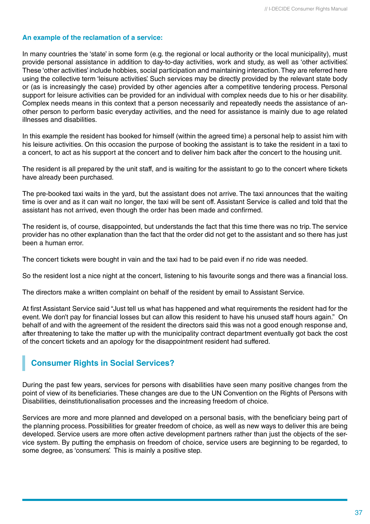### **An example of the reclamation of a service:**

In many countries the 'state' in some form (e.g. the regional or local authority or the local municipality), must provide personal assistance in addition to day-to-day activities, work and study, as well as 'other activities'. These 'other activities' include hobbies, social participation and maintaining interaction. They are referred here using the collective term 'leisure activities'. Such services may be directly provided by the relevant state body or (as is increasingly the case) provided by other agencies after a competitive tendering process. Personal support for leisure activities can be provided for an individual with complex needs due to his or her disability. Complex needs means in this context that a person necessarily and repeatedly needs the assistance of another person to perform basic everyday activities, and the need for assistance is mainly due to age related illnesses and disabilities.

In this example the resident has booked for himself (within the agreed time) a personal help to assist him with his leisure activities. On this occasion the purpose of booking the assistant is to take the resident in a taxi to a concert, to act as his support at the concert and to deliver him back after the concert to the housing unit.

The resident is all prepared by the unit staff, and is waiting for the assistant to go to the concert where tickets have already been purchased.

The pre-booked taxi waits in the yard, but the assistant does not arrive. The taxi announces that the waiting time is over and as it can wait no longer, the taxi will be sent off. Assistant Service is called and told that the assistant has not arrived, even though the order has been made and confirmed.

The resident is, of course, disappointed, but understands the fact that this time there was no trip. The service provider has no other explanation than the fact that the order did not get to the assistant and so there has just been a human error.

The concert tickets were bought in vain and the taxi had to be paid even if no ride was needed.

So the resident lost a nice night at the concert, listening to his favourite songs and there was a financial loss.

The directors make a written complaint on behalf of the resident by email to Assistant Service.

At first Assistant Service said "Just tell us what has happened and what requirements the resident had for the event. We don't pay for financial losses but can allow this resident to have his unused staff hours again." On behalf of and with the agreement of the resident the directors said this was not a good enough response and, after threatening to take the matter up with the municipality contract department eventually got back the cost of the concert tickets and an apology for the disappointment resident had suffered.

### **Consumer Rights in Social Services?**

During the past few years, services for persons with disabilities have seen many positive changes from the point of view of its beneficiaries. These changes are due to the UN Convention on the Rights of Persons with Disabilities, deinstitutionalisation processes and the increasing freedom of choice.

Services are more and more planned and developed on a personal basis, with the beneficiary being part of the planning process. Possibilities for greater freedom of choice, as well as new ways to deliver this are being developed. Service users are more often active development partners rather than just the objects of the service system. By putting the emphasis on freedom of choice, service users are beginning to be regarded, to some degree, as 'consumers'. This is mainly a positive step.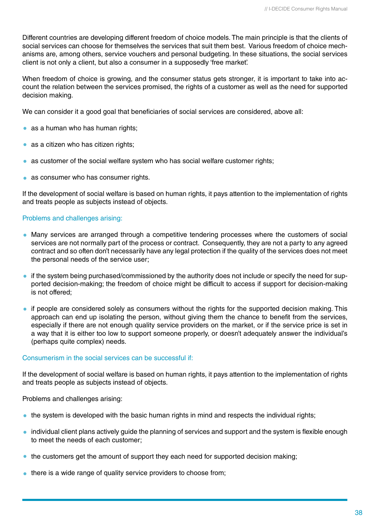Different countries are developing different freedom of choice models. The main principle is that the clients of social services can choose for themselves the services that suit them best. Various freedom of choice mechanisms are, among others, service vouchers and personal budgeting. In these situations, the social services client is not only a client, but also a consumer in a supposedly 'free market'.

When freedom of choice is growing, and the consumer status gets stronger, it is important to take into account the relation between the services promised, the rights of a customer as well as the need for supported decision making.

We can consider it a good goal that beneficiaries of social services are considered, above all:

- as a human who has human rights:
- as a citizen who has citizen rights;
- as customer of the social welfare system who has social welfare customer rights;
- as consumer who has consumer rights.

If the development of social welfare is based on human rights, it pays attention to the implementation of rights and treats people as subjects instead of objects.

### Problems and challenges arising:

- Many services are arranged through a competitive tendering processes where the customers of social services are not normally part of the process or contract. Consequently, they are not a party to any agreed contract and so often don't necessarily have any legal protection if the quality of the services does not meet the personal needs of the service user;
- if the system being purchased/commissioned by the authority does not include or specify the need for supported decision-making; the freedom of choice might be difficult to access if support for decision-making is not offered;
- if people are considered solely as consumers without the rights for the supported decision making. This approach can end up isolating the person, without giving them the chance to benefit from the services, especially if there are not enough quality service providers on the market, or if the service price is set in a way that it is either too low to support someone properly, or doesn't adequately answer the individual's (perhaps quite complex) needs.

### Consumerism in the social services can be successful if:

If the development of social welfare is based on human rights, it pays attention to the implementation of rights and treats people as subjects instead of objects.

Problems and challenges arising:

- $\bullet$  the system is developed with the basic human rights in mind and respects the individual rights;
- individual client plans actively quide the planning of services and support and the system is flexible enough to meet the needs of each customer;
- the customers get the amount of support they each need for supported decision making;
- there is a wide range of quality service providers to choose from;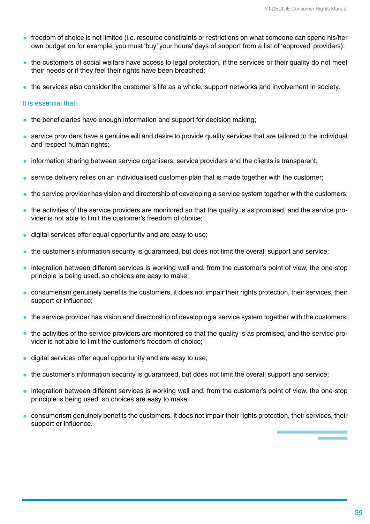- freedom of choice is not limited (i.e. resource constraints or restrictions on what someone can spend his/her own budget on for example; you must 'buy' your hours/ days of support from a list of 'approved' providers);
- the customers of social welfare have access to legal protection, if the services or their quality do not meet their needs or if they feel their rights have been breached;
- the services also consider the customer's life as a whole, support networks and involvement in society.

### It is essential that:

- $\bullet$  the beneficiaries have enough information and support for decision making;
- service providers have a genuine will and desire to provide quality services that are tailored to the individual and respect human rights;
- information sharing between service organisers, service providers and the clients is transparent;
- service delivery relies on an individualised customer plan that is made together with the customer;
- the service provider has vision and directorship of developing a service system together with the customers;
- the activities of the service providers are monitored so that the quality is as promised, and the service provider is not able to limit the customer's freedom of choice;
- digital services offer equal opportunity and are easy to use;
- the customer's information security is guaranteed, but does not limit the overall support and service;
- integration between different services is working well and, from the customer's point of view, the one-stop principle is being used, so choices are easy to make;
- consumerism genuinely benefits the customers, it does not impair their rights protection, their services, their support or influence;
- the service provider has vision and directorship of developing a service system together with the customers;
- the activities of the service providers are monitored so that the quality is as promised, and the service provider is not able to limit the customer's freedom of choice;
- digital services offer equal opportunity and are easy to use;  $\bullet$
- the customer's information security is guaranteed, but does not limit the overall support and service;
- integration between different services is working well and, from the customer's point of view, the one-stop principle is being used, so choices are easy to make
- consumerism genuinely benefits the customers, it does not impair their rights protection, their services, their support or influence.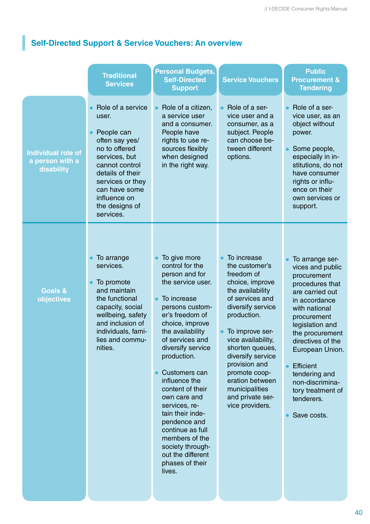## **Self-Directed Support & Service Vouchers: An overview**

|                                                            | <b>Traditional</b><br><b>Services</b>                                                                                                                                                                                  | <b>Personal Budgets,</b><br><b>Self-Directed</b><br><b>Support</b>                                                                                                                                                                                                                                                                                                                                                                                               | <b>Service Vouchers</b>                                                                                                                                                                                                                                                                                                                  | <b>Public</b><br><b>Procurement &amp;</b><br><b>Tendering</b>                                                                                                                                                                                                                                                                     |
|------------------------------------------------------------|------------------------------------------------------------------------------------------------------------------------------------------------------------------------------------------------------------------------|------------------------------------------------------------------------------------------------------------------------------------------------------------------------------------------------------------------------------------------------------------------------------------------------------------------------------------------------------------------------------------------------------------------------------------------------------------------|------------------------------------------------------------------------------------------------------------------------------------------------------------------------------------------------------------------------------------------------------------------------------------------------------------------------------------------|-----------------------------------------------------------------------------------------------------------------------------------------------------------------------------------------------------------------------------------------------------------------------------------------------------------------------------------|
| <b>Individual role of</b><br>a person with a<br>disability | Role of a service<br>user.<br>People can<br>often say yes/<br>no to offered<br>services, but<br>cannot control<br>details of their<br>services or they<br>can have some<br>influence on<br>the designs of<br>services. | Role of a citizen,<br>a service user<br>and a consumer.<br>People have<br>rights to use re-<br>sources flexibly<br>when designed<br>in the right way.                                                                                                                                                                                                                                                                                                            | Role of a ser-<br>vice user and a<br>consumer, as a<br>subject. People<br>can choose be-<br>tween different<br>options.                                                                                                                                                                                                                  | Role of a ser-<br>vice user, as an<br>object without<br>power.<br>Some people,<br>especially in in-<br>stitutions, do not<br>have consumer<br>rights or influ-<br>ence on their<br>own services or<br>support.                                                                                                                    |
| <b>Goals &amp;</b><br>objectives                           | To arrange<br>services.<br>To promote<br>and maintain<br>the functional<br>capacity, social<br>wellbeing, safety<br>and inclusion of<br>individuals, fami-<br>lies and commu-<br>nities.                               | To give more<br>control for the<br>person and for<br>the service user.<br>To increase<br>persons custom-<br>er's freedom of<br>choice, improve<br>the availability<br>of services and<br>diversify service<br>production.<br>Customers can<br>influence the<br>content of their<br>own care and<br>services, re-<br>tain their inde-<br>pendence and<br>continue as full<br>members of the<br>society through-<br>out the different<br>phases of their<br>lives. | To increase<br>the customer's<br>freedom of<br>choice, improve<br>the availability<br>of services and<br>diversify service<br>production.<br>To improve ser-<br>vice availability,<br>shorten queues,<br>diversify service<br>provision and<br>promote coop-<br>eration between<br>municipalities<br>and private ser-<br>vice providers. | To arrange ser-<br>vices and public<br>procurement<br>procedures that<br>are carried out<br>in accordance<br>with national<br>procurement<br>legislation and<br>the procurement<br>directives of the<br>European Union.<br><b>Efficient</b><br>tendering and<br>non-discrimina-<br>tory treatment of<br>tenderers.<br>Save costs. |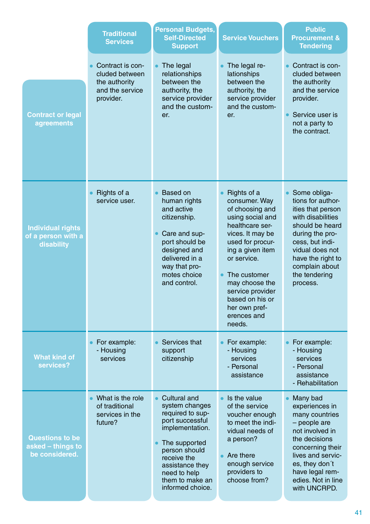|                                                               | <b>Traditional</b><br><b>Services</b>                                               | <b>Personal Budgets,</b><br><b>Self-Directed</b><br><b>Support</b>                                                                                                                                                         | <b>Service Vouchers</b>                                                                                                                                                                                                                                                              | <b>Public</b><br><b>Procurement &amp;</b><br><b>Tendering</b>                                                                                                                                                               |
|---------------------------------------------------------------|-------------------------------------------------------------------------------------|----------------------------------------------------------------------------------------------------------------------------------------------------------------------------------------------------------------------------|--------------------------------------------------------------------------------------------------------------------------------------------------------------------------------------------------------------------------------------------------------------------------------------|-----------------------------------------------------------------------------------------------------------------------------------------------------------------------------------------------------------------------------|
| <b>Contract or legal</b><br>agreements                        | Contract is con-<br>cluded between<br>the authority<br>and the service<br>provider. | The legal<br>relationships<br>between the<br>authority, the<br>service provider<br>and the custom-<br>er.                                                                                                                  | The legal re-<br>lationships<br>between the<br>authority, the<br>service provider<br>and the custom-<br>er.                                                                                                                                                                          | Contract is con-<br>cluded between<br>the authority<br>and the service<br>provider.<br>Service user is<br>not a party to<br>the contract.                                                                                   |
| <b>Individual rights</b><br>of a person with a<br>disability  | Rights of a<br>service user.                                                        | <b>Based on</b><br>human rights<br>and active<br>citizenship.<br>Care and sup-<br>port should be<br>designed and<br>delivered in a<br>way that pro-<br>motes choice<br>and control.                                        | Rights of a<br>consumer. Way<br>of choosing and<br>using social and<br>healthcare ser-<br>vices. It may be<br>used for procur-<br>ing a given item<br>or service.<br>The customer<br>may choose the<br>service provider<br>based on his or<br>her own pref-<br>erences and<br>needs. | Some obliga-<br>tions for author-<br>ities that person<br>with disabilities<br>should be heard<br>during the pro-<br>cess, but indi-<br>vidual does not<br>have the right to<br>complain about<br>the tendering<br>process. |
| <b>What kind of</b><br>services?                              | For example:<br>- Housing<br>services                                               | Services that<br>support<br>citizenship                                                                                                                                                                                    | For example:<br>- Housing<br>services<br>- Personal<br>assistance                                                                                                                                                                                                                    | For example:<br>- Housing<br>services<br>- Personal<br>assistance<br>- Rehabilitation                                                                                                                                       |
| <b>Questions to be</b><br>asked - things to<br>be considered. | What is the role<br>of traditional<br>services in the<br>future?                    | <b>Cultural and</b><br>system changes<br>required to sup-<br>port successful<br>implementation.<br>The supported<br>person should<br>receive the<br>assistance they<br>need to help<br>them to make an<br>informed choice. | Is the value<br>of the service<br>voucher enough<br>to meet the indi-<br>vidual needs of<br>a person?<br>Are there<br>enough service<br>providers to<br>choose from?                                                                                                                 | Many bad<br>experiences in<br>many countries<br>- people are<br>not involved in<br>the decisions<br>concerning their<br>lives and servic-<br>es, they don't<br>have legal rem-<br>edies. Not in line<br>with UNCRPD.        |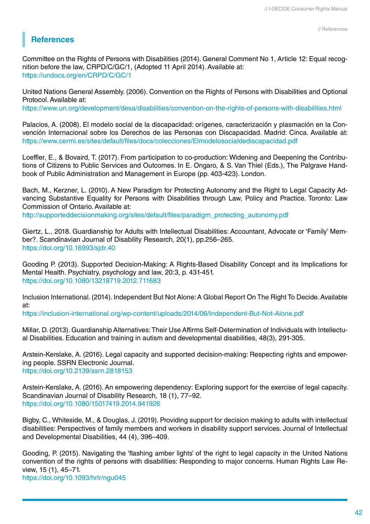## **References**

Committee on the Rights of Persons with Disabilities (2014). General Comment No 1, Article 12: Equal recognition before the law, CRPD/C/GC/1, (Adopted 11 April 2014). Available at: https://undocs.org/en/CRPD/C/GC/1

United Nations General Assembly. (2006). Convention on the Rights of Persons with Disabilities and Optional Protocol. Available at:

https://www.un.org/development/desa/disabilities/convention-on-the-rights-of-persons-with-disabilities.html

Palacios, A. (2008). El modelo social de la discapacidad: orígenes, caracterización y plasmación en la Convención Internacional sobre los Derechos de las Personas con Discapacidad. Madrid: Cinca. Available at: https://www.cermi.es/sites/default/files/docs/colecciones/Elmodelosocialdediscapacidad.pdf

Loeffler, E., & Bovaird, T. (2017). From participation to co-production: Widening and Deepening the Contributions of Citizens to Public Services and Outcomes. In E. Ongaro, & S. Van Thiel (Eds.), The Palgrave Handbook of Public Administration and Management in Europe (pp. 403-423). London.

Bach, M., Kerzner, L. (2010). A New Paradigm for Protecting Autonomy and the Right to Legal Capacity Advancing Substantive Equality for Persons with Disabilities through Law, Policy and Practice. Toronto: Law Commission of Ontario. Available at:

http://supporteddecisionmaking.org/sites/default/files/paradigm\_protecting\_autonomy.pdf

Giertz, L., 2018. Guardianship for Adults with Intellectual Disabilities: Accountant, Advocate or 'Family' Member?. Scandinavian Journal of Disability Research, 20(1), pp.256–265. https://doi.org/10.16993/sjdr.40

Gooding P. (2013). Supported Decision-Making: A Rights-Based Disability Concept and its Implications for Mental Health. Psychiatry, psychology and law, 20:3, p. 431-451. https://doi.org/10.1080/13218719.2012.711683

Inclusion International. (2014). Independent But Not Alone: A Global Report On The Right To Decide. Available at:

https://inclusion-international.org/wp-content/uploads/2014/06/Independent-But-Not-Alone.pdf

Millar, D. (2013). Guardianship Alternatives: Their Use Affirms Self-Determination of Individuals with Intellectual Disabilities. Education and training in autism and developmental disabilities, 48(3), 291-305.

Arstein-Kerslake, A. (2016). Legal capacity and supported decision-making: Respecting rights and empowering people. SSRN Electronic Journal. https://doi.org/10.2139/ssrn.2818153

Arstein-Kerslake, A. (2016). An empowering dependency: Exploring support for the exercise of legal capacity. Scandinavian Journal of Disability Research, 18 (1), 77–92. https://doi.org/10.1080/15017419.2014.941926

Bigby, C., Whiteside, M., & Douglas, J. (2019). Providing support for decision making to adults with intellectual disabilities: Perspectives of family members and workers in disability support services. Journal of Intellectual and Developmental Disabilities, 44 (4), 396–409.

Gooding, P. (2015). Navigating the 'flashing amber lights' of the right to legal capacity in the United Nations convention of the rights of persons with disabilities: Responding to major concerns. Human Rights Law Review, 15 (1), 45–71. https://doi.org/10.1093/hrlr/ngu045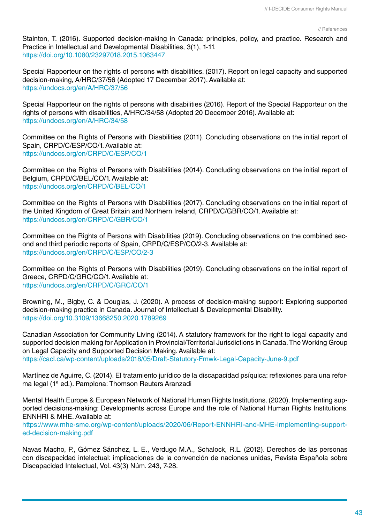#### // References

Stainton, T. (2016). Supported decision-making in Canada: principles, policy, and practice. Research and Practice in Intellectual and Developmental Disabilities, 3(1), 1-11. https://doi.org/10.1080/23297018.2015.1063447

Special Rapporteur on the rights of persons with disabilities. (2017). Report on legal capacity and supported decision-making, A/HRC/37/56 (Adopted 17 December 2017). Available at: https://undocs.org/en/A/HRC/37/56

Special Rapporteur on the rights of persons with disabilities (2016). Report of the Special Rapporteur on the rights of persons with disabilities, A/HRC/34/58 (Adopted 20 December 2016). Available at: https://undocs.org/en/A/HRC/34/58

Committee on the Rights of Persons with Disabilities (2011). Concluding observations on the initial report of Spain, CRPD/C/ESP/CO/1. Available at: https://undocs.org/en/CRPD/C/ESP/CO/1

Committee on the Rights of Persons with Disabilities (2014). Concluding observations on the initial report of Belgium, CRPD/C/BEL/CO/1. Available at: https://undocs.org/en/CRPD/C/BEL/CO/1

Committee on the Rights of Persons with Disabilities (2017). Concluding observations on the initial report of the United Kingdom of Great Britain and Northern Ireland, CRPD/C/GBR/CO/1. Available at: https://undocs.org/en/CRPD/C/GBR/CO/1

Committee on the Rights of Persons with Disabilities (2019). Concluding observations on the combined second and third periodic reports of Spain, CRPD/C/ESP/CO/2-3. Available at: https://undocs.org/en/CRPD/C/ESP/CO/2-3

Committee on the Rights of Persons with Disabilities (2019). Concluding observations on the initial report of Greece, CRPD/C/GRC/CO/1. Available at: https://undocs.org/en/CRPD/C/GRC/CO/1

Browning, M., Bigby, C. & Douglas, J. (2020). A process of decision-making support: Exploring supported decision-making practice in Canada. Journal of Intellectual & Developmental Disability. https://doi.org/10.3109/13668250.2020.1789269

Canadian Association for Community Living (2014). A statutory framework for the right to legal capacity and supported decision making for Application in Provincial/Territorial Jurisdictions in Canada. The Working Group on Legal Capacity and Supported Decision Making. Available at: https://cacl.ca/wp-content/uploads/2018/05/Draft-Statutory-Fmwk-Legal-Capacity-June-9.pdf

Martínez de Aguirre, C. (2014). El tratamiento jurídico de la discapacidad psíquica: reflexiones para una reforma legal (1ª ed.). Pamplona: Thomson Reuters Aranzadi

Mental Health Europe & European Network of National Human Rights Institutions. (2020). Implementing supported decisions-making: Developments across Europe and the role of National Human Rights Institutions. ENNHRI & MHE. Available at:

https://www.mhe-sme.org/wp-content/uploads/2020/06/Report-ENNHRI-and-MHE-Implementing-supported-decision-making.pdf

Navas Macho, P., Gómez Sánchez, L. E., Verdugo M.A., Schalock, R.L. (2012). Derechos de las personas con discapacidad intelectual: implicaciones de la convención de naciones unidas, Revista Española sobre Discapacidad Intelectual, Vol. 43(3) Núm. 243, 7-28.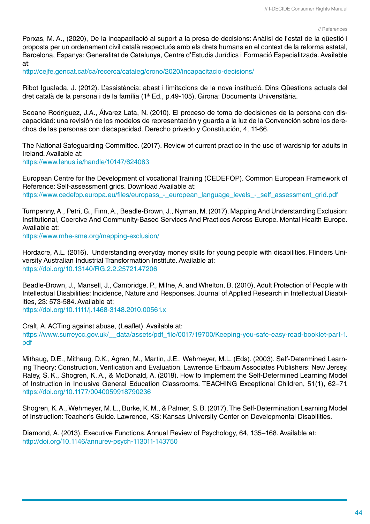#### // References

Porxas, M. A., (2020), De la incapacitació al suport a la presa de decisions: Anàlisi de l'estat de la qüestió i proposta per un ordenament civil català respectuós amb els drets humans en el context de la reforma estatal, Barcelona, Espanya: Generalitat de Catalunya, Centre d'Estudis Jurídics i Formació Especialitzada. Available at:

http://cejfe.gencat.cat/ca/recerca/cataleg/crono/2020/incapacitacio-decisions/

Ribot Igualada, J. (2012). L'assistència: abast i limitacions de la nova institució. Dins Qüestions actuals del dret català de la persona i de la família (1ª Ed., p.49-105). Girona: Documenta Universitària.

Seoane Rodríguez, J.A., Álvarez Lata, N. (2010). El proceso de toma de decisiones de la persona con discapacidad: una revisión de los modelos de representación y guarda a la luz de la Convención sobre los derechos de las personas con discapacidad. Derecho privado y Constitución, 4, 11-66.

The National Safeguarding Committee. (2017). Review of current practice in the use of wardship for adults in Ireland. Available at: https://www.lenus.ie/handle/10147/624083

European Centre for the Development of vocational Training (CEDEFOP). Common European Framework of Reference: Self-assessment grids. Download Available at: https://www.cedefop.europa.eu/files/europass - european language levels - self assessment grid.pdf

Turnpenny, A., Petri, G., Finn, A., Beadle-Brown, J., Nyman, M. (2017). Mapping And Understanding Exclusion: Institutional, Coercive And Community-Based Services And Practices Across Europe. Mental Health Europe. Available at:

https://www.mhe-sme.org/mapping-exclusion/

Hordacre, A.L. (2016). Understanding everyday money skills for young people with disabilities. Flinders University Australian Industrial Transformation Institute. Available at: https://doi.org/10.13140/RG.2.2.25721.47206

Beadle-Brown, J., Mansell, J., Cambridge, P., Milne, A. and Whelton, B. (2010), Adult Protection of People with Intellectual Disabilities: Incidence, Nature and Responses. Journal of Applied Research in Intellectual Disabilities, 23: 573-584. Available at:

https://doi.org/10.1111/j.1468-3148.2010.00561.x

pdf

Craft, A. ACTing against abuse, (Leaflet). Available at: https://www.surreycc.gov.uk/\_\_data/assets/pdf\_file/0017/19700/Keeping-you-safe-easy-read-booklet-part-1.

Mithaug, D.E., Mithaug, D.K., Agran, M., Martin, J.E., Wehmeyer, M.L. (Eds). (2003). Self-Determined Learning Theory: Construction, Verification and Evaluation. Lawrence Erlbaum Associates Publishers: New Jersey. Raley, S. K., Shogren, K. A., & McDonald, A. (2018). How to Implement the Self-Determined Learning Model of Instruction in Inclusive General Education Classrooms. TEACHING Exceptional Children, 51(1), 62–71. https://doi.org/10.1177/0040059918790236

Shogren, K. A., Wehmeyer, M. L., Burke, K. M., & Palmer, S. B. (2017). The Self-Determination Learning Model of Instruction: Teacher's Guide. Lawrence, KS: Kansas University Center on Developmental Disabilities.

Diamond, A. (2013). Executive Functions. Annual Review of Psychology, 64, 135–168. Available at: http://doi.org/10.1146/annurev-psych-113011-143750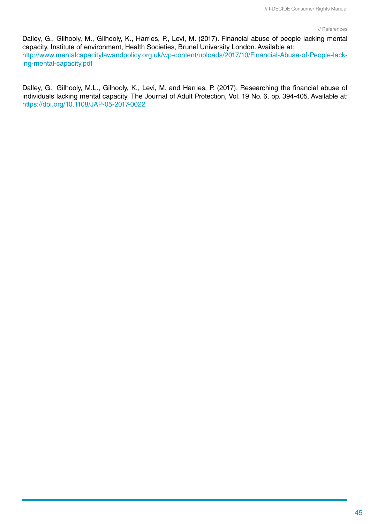Dalley, G., Gilhooly, M., Gilhooly, K., Harries, P., Levi, M. (2017). Financial abuse of people lacking mental capacity, Institute of environment, Health Societies, Brunel University London. Available at: http://www.mentalcapacitylawandpolicy.org.uk/wp-content/uploads/2017/10/Financial-Abuse-of-People-lacking-mental-capacity.pdf

Dalley, G., Gilhooly, M.L., Gilhooly, K., Levi, M. and Harries, P. (2017). Researching the financial abuse of individuals lacking mental capacity, The Journal of Adult Protection, Vol. 19 No. 6, pp. 394-405. Available at: https://doi.org/10.1108/JAP-05-2017-0022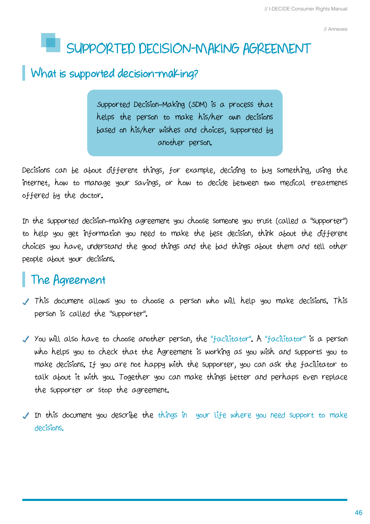// Annexes

# **SUPPORTED DECISION-MAKING AGREEMENT**

## **What is supported decision-making?**

Supported Decision-Making (SDM) is a process that helps the person to make his/her own decisions based on his/her wishes and choices, supported by another person.

Decisions can be about different things, for example, deciding to buy something, using the internet, how to manage your savings, or how to decide between two medical treatments offered by the doctor.

In the supported decision-making agreement you choose someone you trust (called a "supporter") to help you get information you need to make the best decision, think about the different choices you have, understand the good things and the bad things about them and tell other people about your decisions.

## **The Agreement**

- This document allows you to choose a person who will help you make decisions. This person is called the "supporter".
- Y You will also have to choose another person, the "facilitator". A "facilitator" is a person who helps you to check that the Agreement is working as you wish and supports you to make decisions. If you are not happy with the supporter, you can ask the facilitator to talk about it with you. Together you can make things better and perhaps even replace the supporter or stop the agreement.
- In this document you describe the things in your life where you need support to make decisions.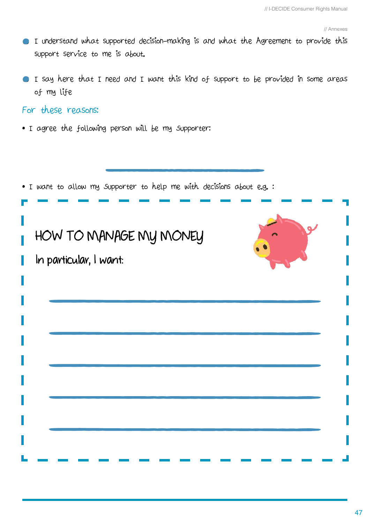- I understand what supported decision-making is and what the Agreement to provide this support service to me is about.
- I say here that I need and I want this kind of support to be provided in some areas of my life

## For these reasons:

• I agree the following person will be my Supporter:

| . I want to allow my supporter to help me with decisions about e.g.: |  |
|----------------------------------------------------------------------|--|
| HOW TO MANAGE MY MONEY<br>In particular, I want:                     |  |
|                                                                      |  |
|                                                                      |  |
|                                                                      |  |
|                                                                      |  |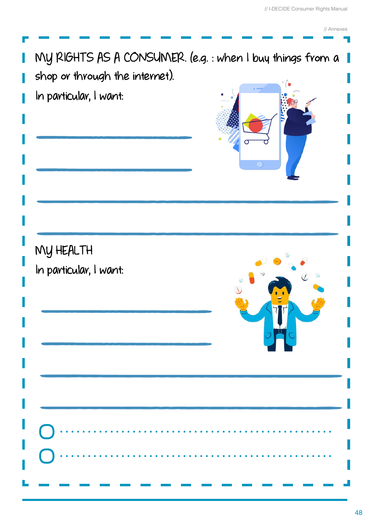// Annexes

**COL** 

| shop or through the internet).<br>In particular, I want: | MY RIGHTS AS A CONSUMER. (e.g. : when I buy things from a 1 |
|----------------------------------------------------------|-------------------------------------------------------------|
| MY HEALTH<br>In particular, I want:                      |                                                             |
|                                                          | .                                                           |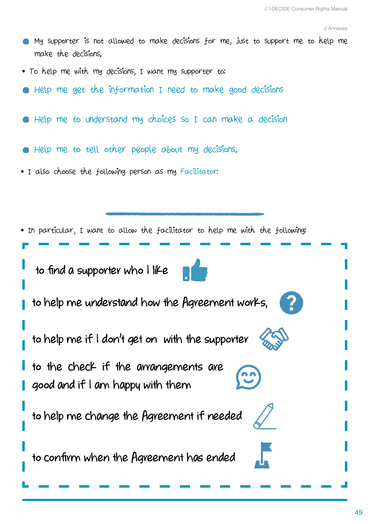- My supporter is not allowed to make decisions for me, just to support me to help me make the decisions.
- To help me with my decisions, I want my supporter to:
- Help me get the information I need to make good decisions
- Help me to understand my choices so I can make a decision
- Help me to tell other people about my decisions.
- I also choose the following person as my Facilitator:

• In particular, I want to allow the facilitator to help me with the following:  **to find a supporter who I like to help me understand how the Agreement works, to help me if I don't get on with the supporter to the check if the arrangements are good and if I am happy with them to help me change the Agreement if needed to confirm when the Agreement has ended**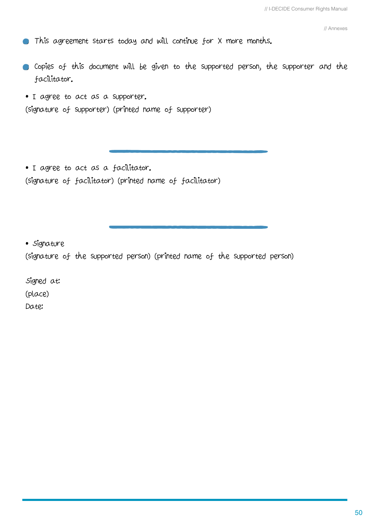// Annexes

- This agreement starts today and will continue for X more months.
- Copies of this document will be given to the supported person, the supporter and the facilitator.
- I agree to act as a supporter.

(signature of supporter) (printed name of supporter)

• I agree to act as a facilitator. (signature of facilitator) (printed name of facilitator)

• Signature

(signature of the supported person) (printed name of the supported person)

Signed at: (place) Date: